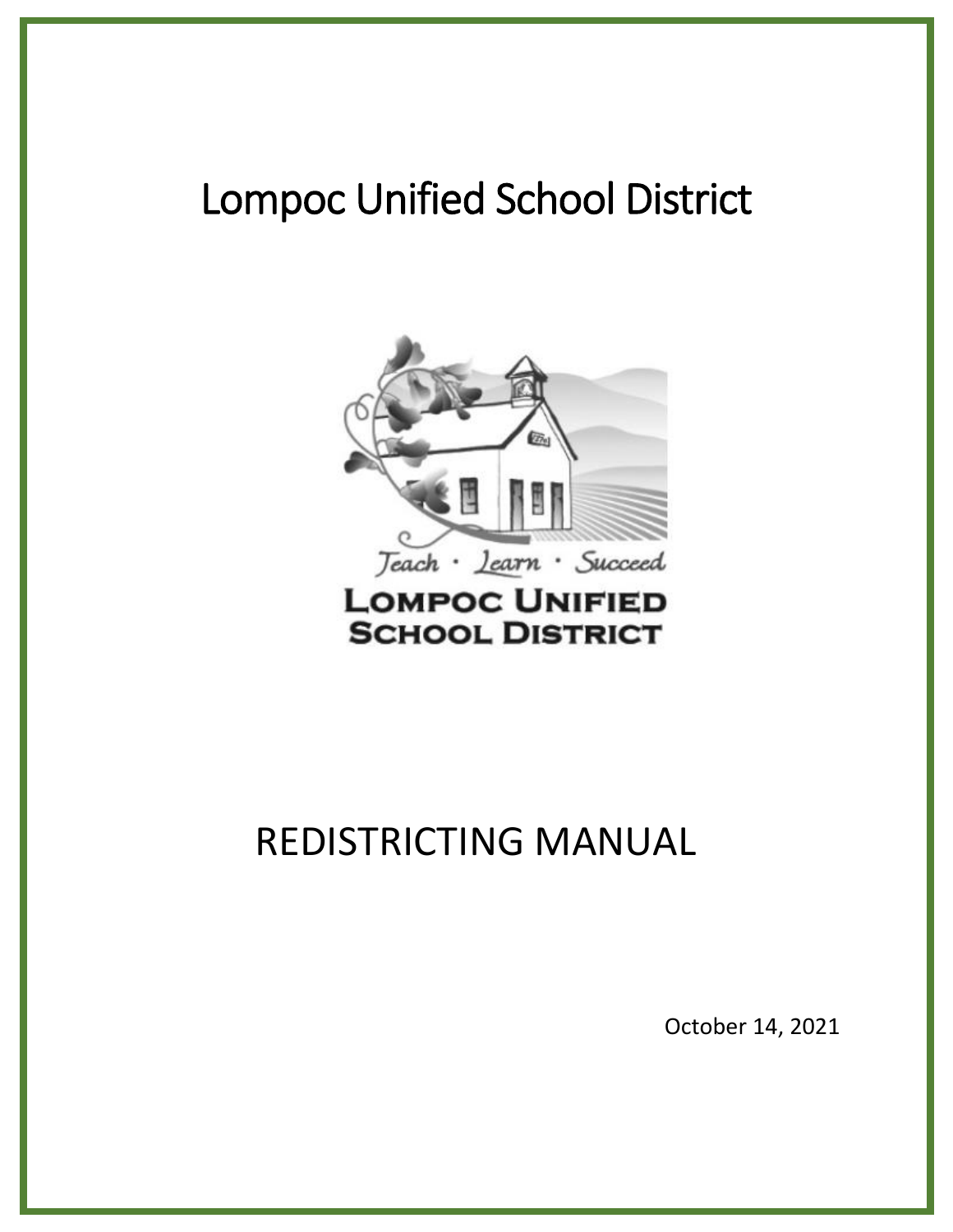# Lompoc Unified School District



**SCHOOL DISTRICT** 

# REDISTRICTING MANUAL

October 14, 2021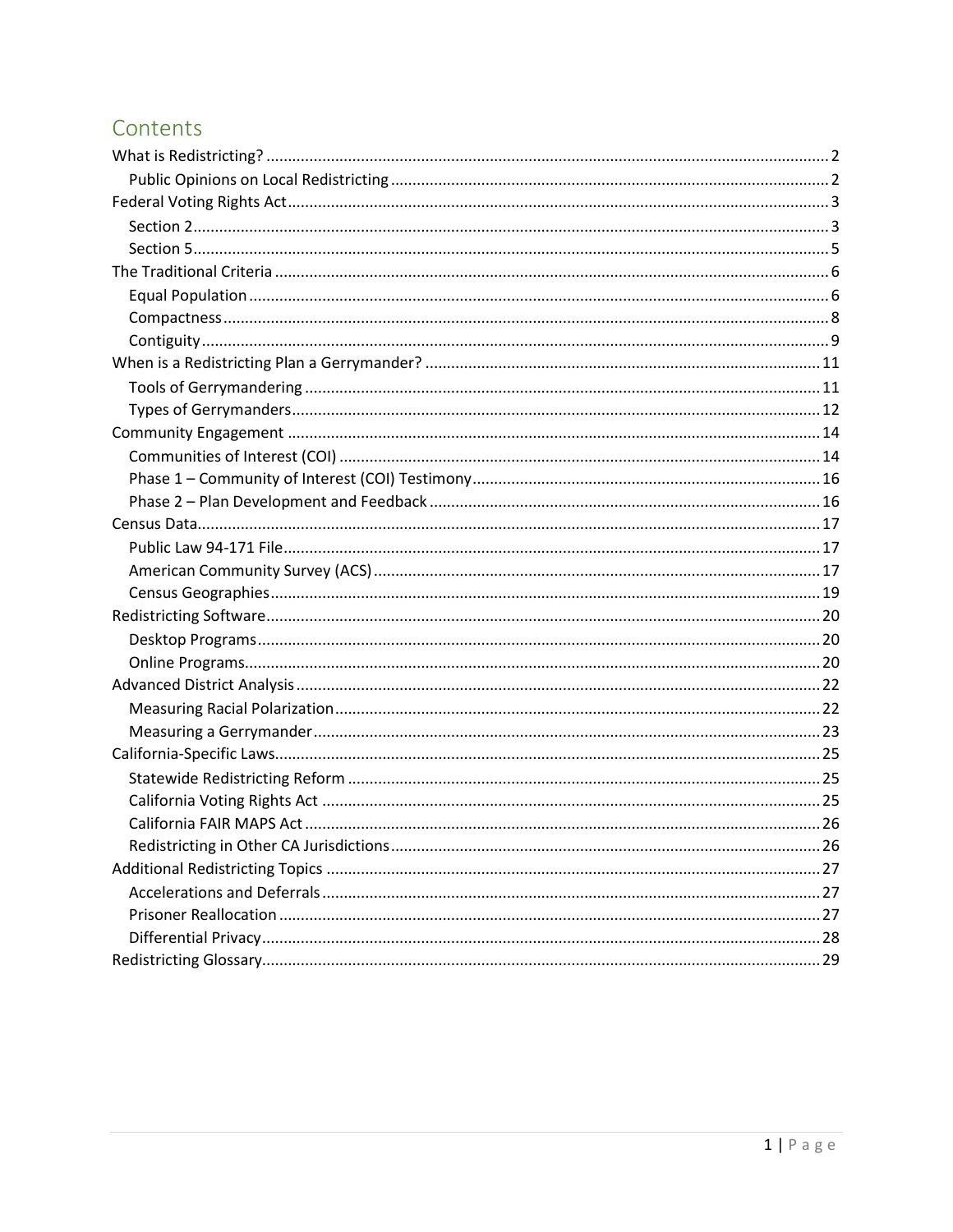# Contents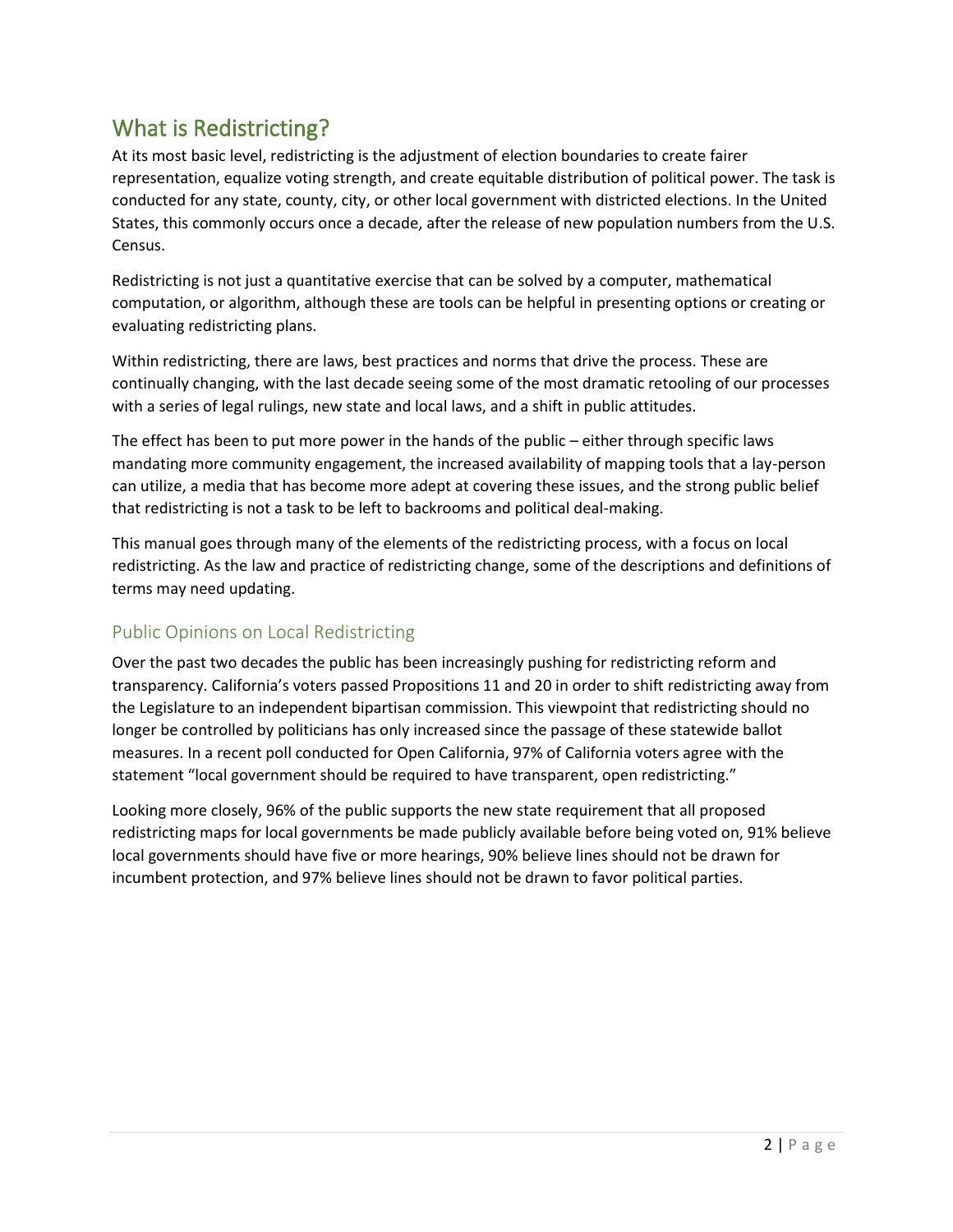# What is Redistricting?

At its most basic level, redistricting is the adjustment of election boundaries to create fairer representation, equalize voting strength, and create equitable distribution of political power. The task is conducted for any state, county, city, or other local government with districted elections. In the United States, this commonly occurs once a decade, after the release of new population numbers from the U.S. Census.

Redistricting is not just a quantitative exercise that can be solved by a computer, mathematical computation, or algorithm, although these are tools can be helpful in presenting options or creating or evaluating redistricting plans.

Within redistricting, there are laws, best practices and norms that drive the process. These are continually changing, with the last decade seeing some of the most dramatic retooling of our processes with a series of legal rulings, new state and local laws, and a shift in public attitudes.

The effect has been to put more power in the hands of the public – either through specific laws mandating more community engagement, the increased availability of mapping tools that a lay-person can utilize, a media that has become more adept at covering these issues, and the strong public belief that redistricting is not a task to be left to backrooms and political deal-making.

This manual goes through many of the elements of the redistricting process, with a focus on local redistricting. As the law and practice of redistricting change, some of the descriptions and definitions of terms may need updating.

# Public Opinions on Local Redistricting

Over the past two decades the public has been increasingly pushing for redistricting reform and transparency. California's voters passed Propositions 11 and 20 in order to shift redistricting away from the Legislature to an independent bipartisan commission. This viewpoint that redistricting should no longer be controlled by politicians has only increased since the passage of these statewide ballot measures. In a recent poll conducted for Open California, 97% of California voters agree with the statement "local government should be required to have transparent, open redistricting."

Looking more closely, 96% of the public supports the new state requirement that all proposed redistricting maps for local governments be made publicly available before being voted on, 91% believe local governments should have five or more hearings, 90% believe lines should not be drawn for incumbent protection, and 97% believe lines should not be drawn to favor political parties.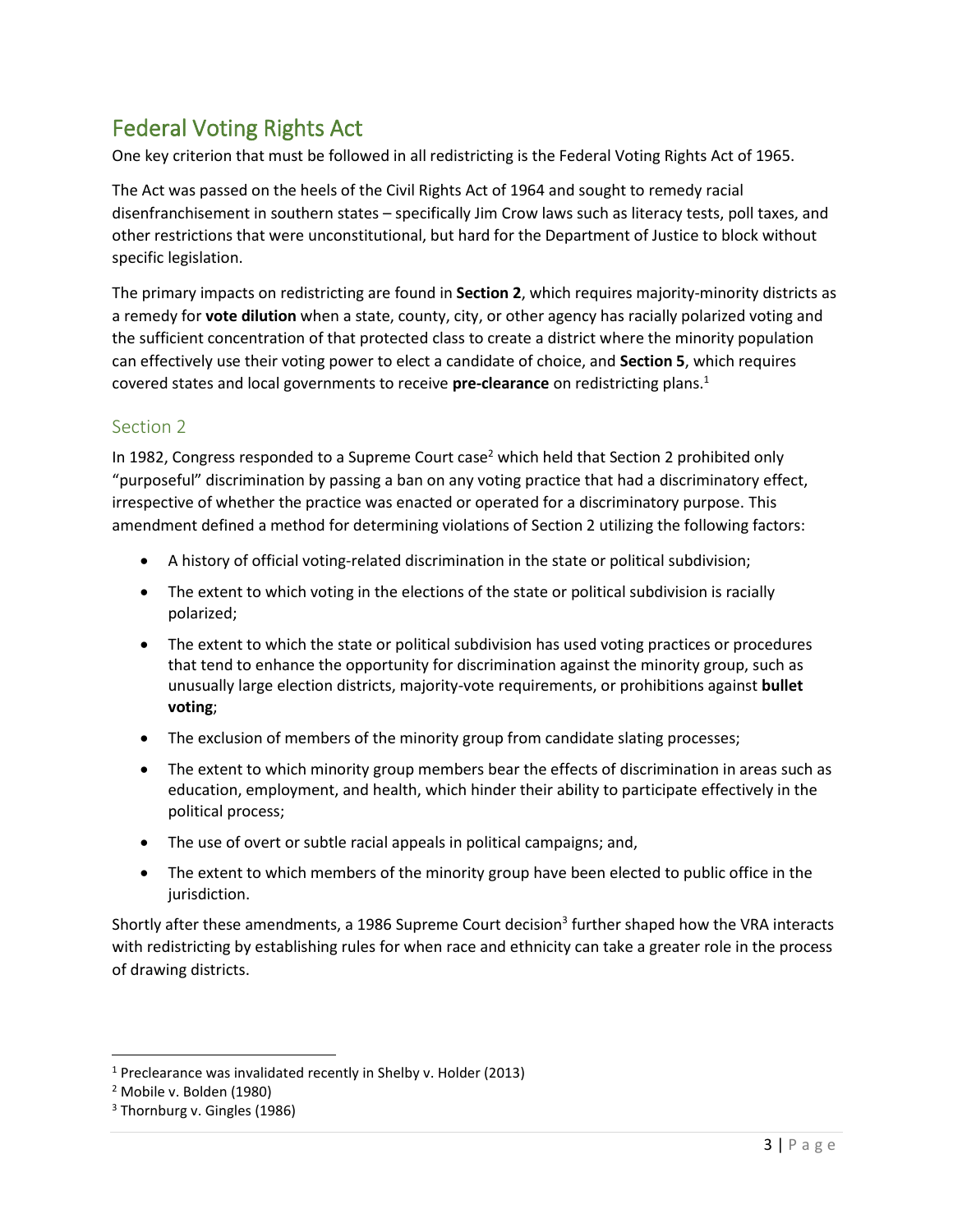# Federal Voting Rights Act

One key criterion that must be followed in all redistricting is the Federal Voting Rights Act of 1965.

The Act was passed on the heels of the Civil Rights Act of 1964 and sought to remedy racial disenfranchisement in southern states – specifically Jim Crow laws such as literacy tests, poll taxes, and other restrictions that were unconstitutional, but hard for the Department of Justice to block without specific legislation.

The primary impacts on redistricting are found in **Section 2**, which requires majority-minority districts as a remedy for **vote dilution** when a state, county, city, or other agency has racially polarized voting and the sufficient concentration of that protected class to create a district where the minority population can effectively use their voting power to elect a candidate of choice, and **Section 5**, which requires covered states and local governments to receive **pre-clearance** on redistricting plans.<sup>1</sup>

# Section 2

In 1982, Congress responded to a Supreme Court case<sup>2</sup> which held that Section 2 prohibited only "purposeful" discrimination by passing a ban on any voting practice that had a discriminatory effect, irrespective of whether the practice was enacted or operated for a discriminatory purpose. This amendment defined a method for determining violations of Section 2 utilizing the following factors:

- A history of official voting-related discrimination in the state or political subdivision;
- The extent to which voting in the elections of the state or political subdivision is racially polarized;
- The extent to which the state or political subdivision has used voting practices or procedures that tend to enhance the opportunity for discrimination against the minority group, such as unusually large election districts, majority-vote requirements, or prohibitions against **bullet voting**;
- The exclusion of members of the minority group from candidate slating processes;
- The extent to which minority group members bear the effects of discrimination in areas such as education, employment, and health, which hinder their ability to participate effectively in the political process;
- The use of overt or subtle racial appeals in political campaigns; and,
- The extent to which members of the minority group have been elected to public office in the jurisdiction.

Shortly after these amendments, a 1986 Supreme Court decision<sup>3</sup> further shaped how the VRA interacts with redistricting by establishing rules for when race and ethnicity can take a greater role in the process of drawing districts.

<sup>1</sup> Preclearance was invalidated recently in Shelby v. Holder (2013)

<sup>2</sup> Mobile v. Bolden (1980)

<sup>&</sup>lt;sup>3</sup> Thornburg v. Gingles (1986)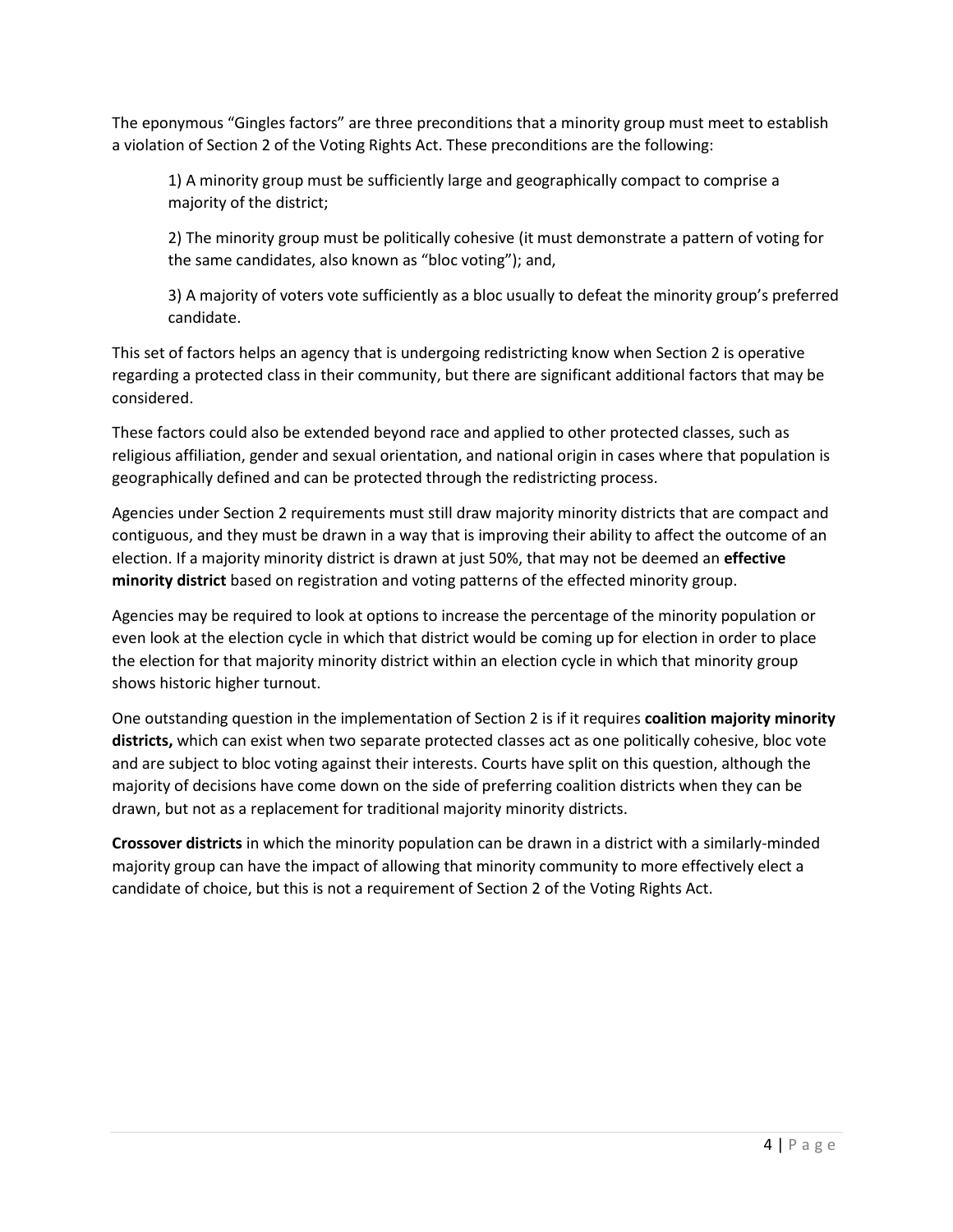The eponymous "Gingles factors" are three preconditions that a minority group must meet to establish a violation of Section 2 of the Voting Rights Act. These preconditions are the following:

1) A minority group must be sufficiently large and geographically compact to comprise a majority of the district;

2) The minority group must be politically cohesive (it must demonstrate a pattern of voting for the same candidates, also known as "bloc voting"); and,

3) A majority of voters vote sufficiently as a bloc usually to defeat the minority group's preferred candidate.

This set of factors helps an agency that is undergoing redistricting know when Section 2 is operative regarding a protected class in their community, but there are significant additional factors that may be considered.

These factors could also be extended beyond race and applied to other protected classes, such as religious affiliation, gender and sexual orientation, and national origin in cases where that population is geographically defined and can be protected through the redistricting process.

Agencies under Section 2 requirements must still draw majority minority districts that are compact and contiguous, and they must be drawn in a way that is improving their ability to affect the outcome of an election. If a majority minority district is drawn at just 50%, that may not be deemed an **effective minority district** based on registration and voting patterns of the effected minority group.

Agencies may be required to look at options to increase the percentage of the minority population or even look at the election cycle in which that district would be coming up for election in order to place the election for that majority minority district within an election cycle in which that minority group shows historic higher turnout.

One outstanding question in the implementation of Section 2 is if it requires **coalition majority minority districts,** which can exist when two separate protected classes act as one politically cohesive, bloc vote and are subject to bloc voting against their interests. Courts have split on this question, although the majority of decisions have come down on the side of preferring coalition districts when they can be drawn, but not as a replacement for traditional majority minority districts.

**Crossover districts** in which the minority population can be drawn in a district with a similarly-minded majority group can have the impact of allowing that minority community to more effectively elect a candidate of choice, but this is not a requirement of Section 2 of the Voting Rights Act.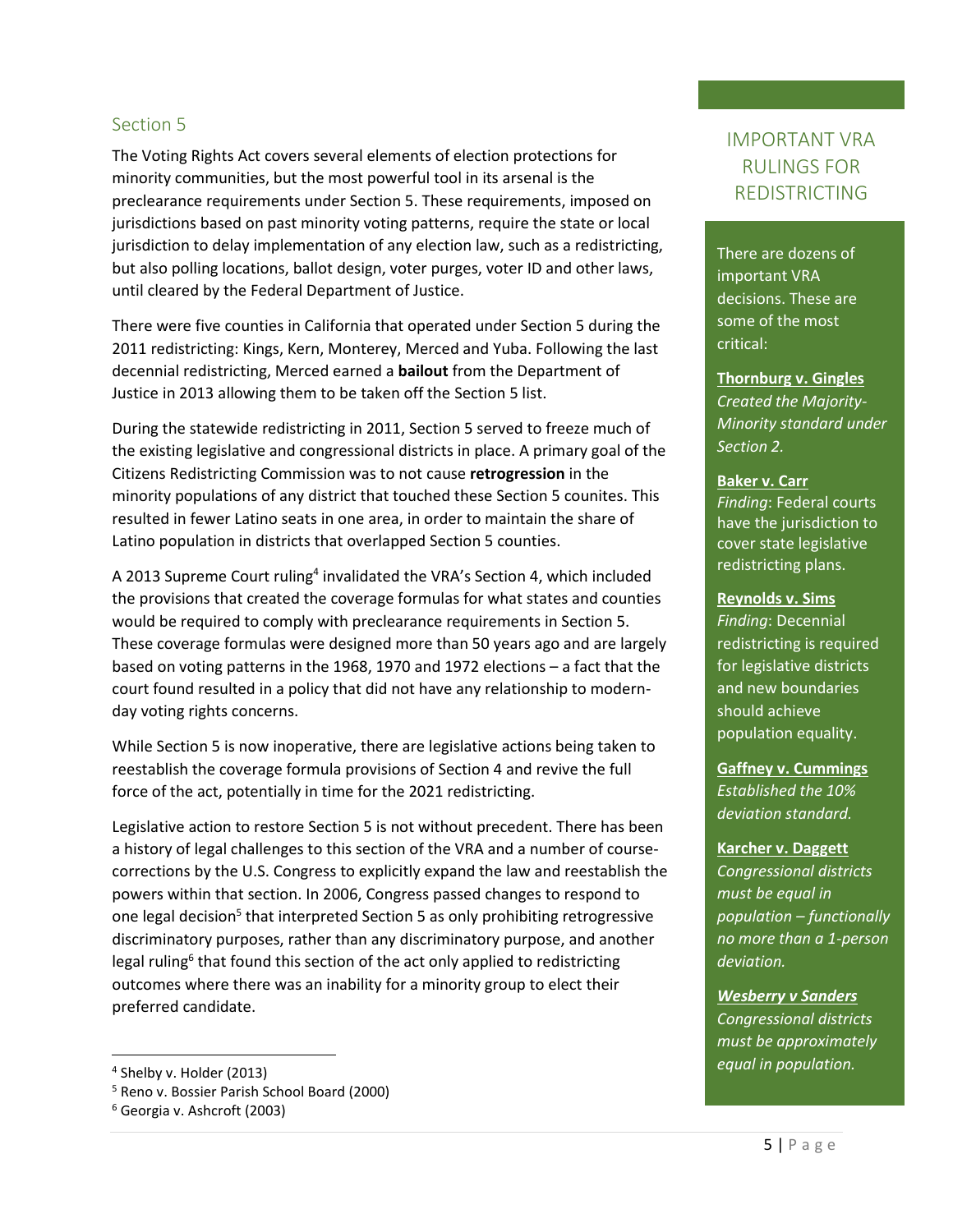#### Section 5

The Voting Rights Act covers several elements of election protections for minority communities, but the most powerful tool in its arsenal is the preclearance requirements under Section 5. These requirements, imposed on jurisdictions based on past minority voting patterns, require the state or local jurisdiction to delay implementation of any election law, such as a redistricting, but also polling locations, ballot design, voter purges, voter ID and other laws, until cleared by the Federal Department of Justice.

There were five counties in California that operated under Section 5 during the 2011 redistricting: Kings, Kern, Monterey, Merced and Yuba. Following the last decennial redistricting, Merced earned a **bailout** from the Department of Justice in 2013 allowing them to be taken off the Section 5 list.

During the statewide redistricting in 2011, Section 5 served to freeze much of the existing legislative and congressional districts in place. A primary goal of the Citizens Redistricting Commission was to not cause **retrogression** in the minority populations of any district that touched these Section 5 counites. This resulted in fewer Latino seats in one area, in order to maintain the share of Latino population in districts that overlapped Section 5 counties.

A 2013 Supreme Court ruling<sup>4</sup> invalidated the VRA's Section 4, which included the provisions that created the coverage formulas for what states and counties would be required to comply with preclearance requirements in Section 5. These coverage formulas were designed more than 50 years ago and are largely based on voting patterns in the 1968, 1970 and 1972 elections – a fact that the court found resulted in a policy that did not have any relationship to modernday voting rights concerns.

While Section 5 is now inoperative, there are legislative actions being taken to reestablish the coverage formula provisions of Section 4 and revive the full force of the act, potentially in time for the 2021 redistricting.

Legislative action to restore Section 5 is not without precedent. There has been a history of legal challenges to this section of the VRA and a number of coursecorrections by the U.S. Congress to explicitly expand the law and reestablish the powers within that section. In 2006, Congress passed changes to respond to one legal decision<sup>5</sup> that interpreted Section 5 as only prohibiting retrogressive discriminatory purposes, rather than any discriminatory purpose, and another legal ruling<sup>6</sup> that found this section of the act only applied to redistricting outcomes where there was an inability for a minority group to elect their preferred candidate.

# IMPORTANT VRA RULINGS FOR REDISTRICTING

There are dozens of important VRA decisions. These are some of the most critical:

**Thornburg v. Gingles** *Created the Majority-Minority standard under Section 2.*

#### **Baker v. Carr**

*Finding*: Federal courts have the jurisdiction to cover state legislative redistricting plans.

#### **Reynolds v. Sims**

*Finding*: Decennial redistricting is required for legislative districts and new boundaries should achieve population equality.

**Gaffney v. Cummings**  *Established the 10% deviation standard.*

#### **Karcher v. Daggett**

*Congressional districts must be equal in population – functionally no more than a 1-person deviation.*

*Wesberry v Sanders Congressional districts must be approximately equal in population.*

<sup>4</sup> Shelby v. Holder (2013)

<sup>5</sup> Reno v. Bossier Parish School Board (2000)

<sup>6</sup> Georgia v. Ashcroft (2003)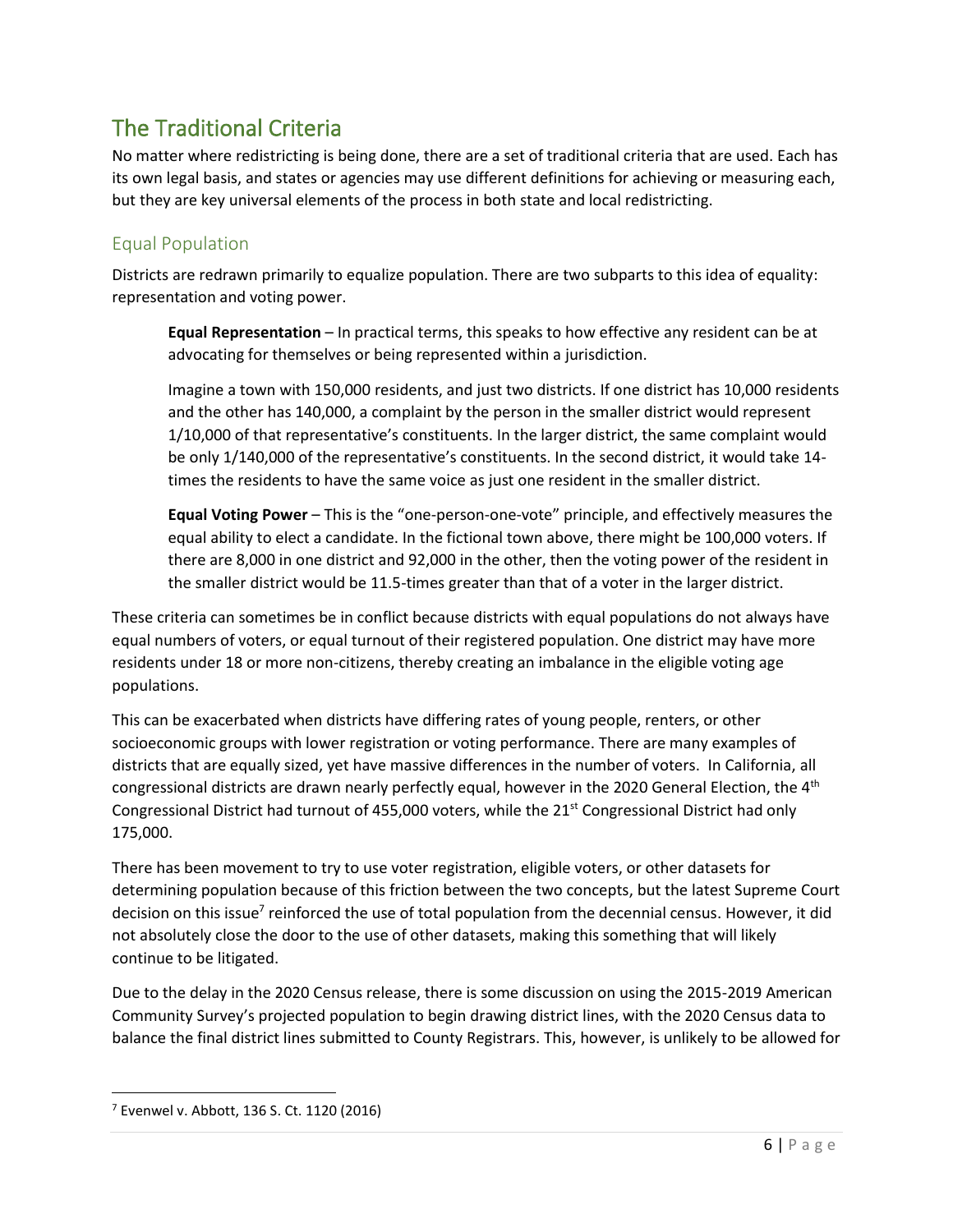# The Traditional Criteria

No matter where redistricting is being done, there are a set of traditional criteria that are used. Each has its own legal basis, and states or agencies may use different definitions for achieving or measuring each, but they are key universal elements of the process in both state and local redistricting.

# Equal Population

Districts are redrawn primarily to equalize population. There are two subparts to this idea of equality: representation and voting power.

**Equal Representation** – In practical terms, this speaks to how effective any resident can be at advocating for themselves or being represented within a jurisdiction.

Imagine a town with 150,000 residents, and just two districts. If one district has 10,000 residents and the other has 140,000, a complaint by the person in the smaller district would represent 1/10,000 of that representative's constituents. In the larger district, the same complaint would be only 1/140,000 of the representative's constituents. In the second district, it would take 14 times the residents to have the same voice as just one resident in the smaller district.

**Equal Voting Power** – This is the "one-person-one-vote" principle, and effectively measures the equal ability to elect a candidate. In the fictional town above, there might be 100,000 voters. If there are 8,000 in one district and 92,000 in the other, then the voting power of the resident in the smaller district would be 11.5-times greater than that of a voter in the larger district.

These criteria can sometimes be in conflict because districts with equal populations do not always have equal numbers of voters, or equal turnout of their registered population. One district may have more residents under 18 or more non-citizens, thereby creating an imbalance in the eligible voting age populations.

This can be exacerbated when districts have differing rates of young people, renters, or other socioeconomic groups with lower registration or voting performance. There are many examples of districts that are equally sized, yet have massive differences in the number of voters. In California, all congressional districts are drawn nearly perfectly equal, however in the 2020 General Election, the 4<sup>th</sup> Congressional District had turnout of 455,000 voters, while the  $21<sup>st</sup>$  Congressional District had only 175,000.

There has been movement to try to use voter registration, eligible voters, or other datasets for determining population because of this friction between the two concepts, but the latest Supreme Court decision on this issue<sup>7</sup> reinforced the use of total population from the decennial census. However, it did not absolutely close the door to the use of other datasets, making this something that will likely continue to be litigated.

Due to the delay in the 2020 Census release, there is some discussion on using the 2015-2019 American Community Survey's projected population to begin drawing district lines, with the 2020 Census data to balance the final district lines submitted to County Registrars. This, however, is unlikely to be allowed for

<sup>7</sup> Evenwel v. Abbott, 136 S. Ct. 1120 (2016)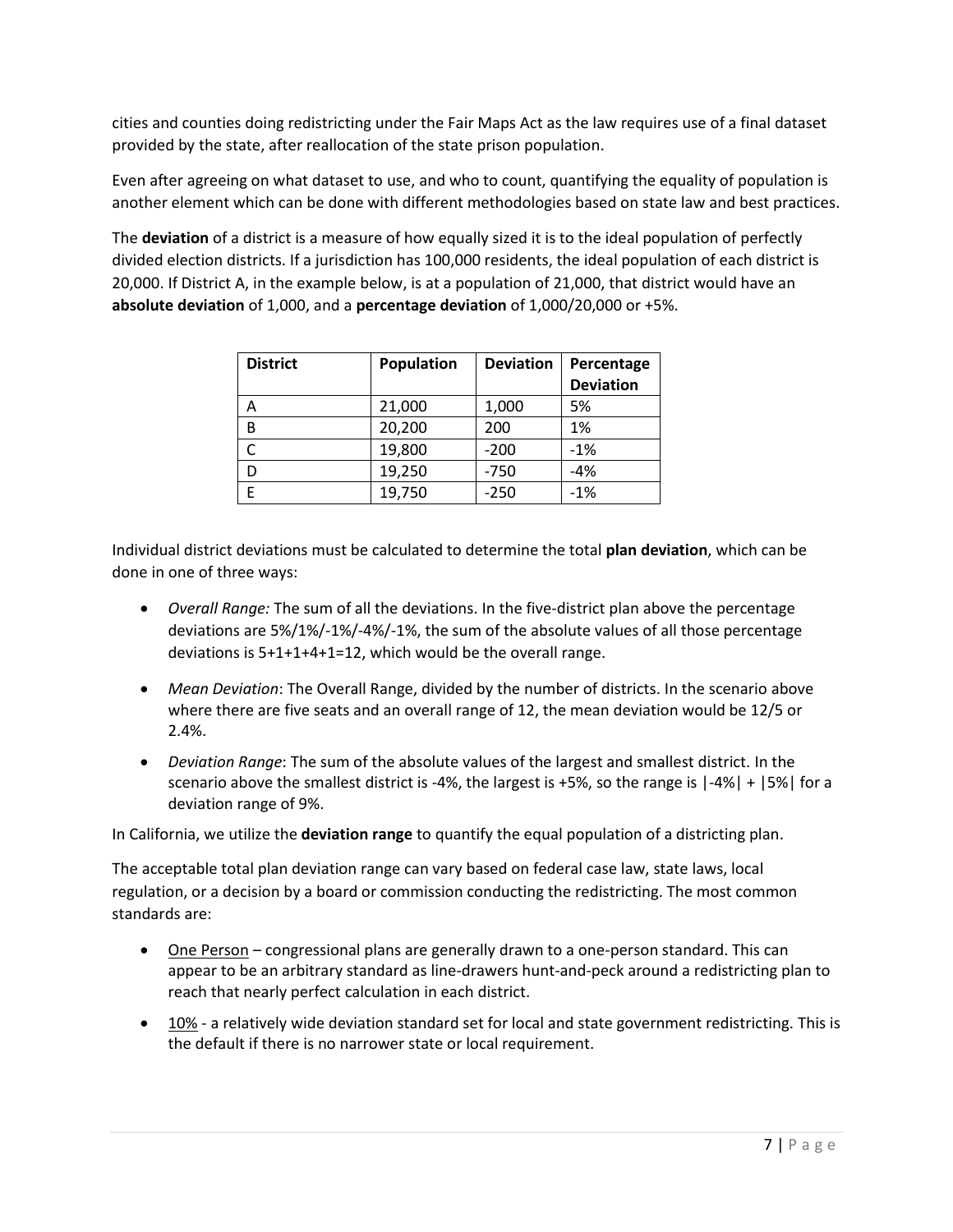cities and counties doing redistricting under the Fair Maps Act as the law requires use of a final dataset provided by the state, after reallocation of the state prison population.

Even after agreeing on what dataset to use, and who to count, quantifying the equality of population is another element which can be done with different methodologies based on state law and best practices.

The **deviation** of a district is a measure of how equally sized it is to the ideal population of perfectly divided election districts. If a jurisdiction has 100,000 residents, the ideal population of each district is 20,000. If District A, in the example below, is at a population of 21,000, that district would have an **absolute deviation** of 1,000, and a **percentage deviation** of 1,000/20,000 or +5%.

| <b>District</b> | <b>Population</b> | <b>Deviation</b> | Percentage       |
|-----------------|-------------------|------------------|------------------|
|                 |                   |                  | <b>Deviation</b> |
| А               | 21,000            | 1,000            | 5%               |
| B               | 20,200            | 200              | 1%               |
|                 | 19,800            | $-200$           | $-1%$            |
|                 | 19,250            | $-750$           | $-4%$            |
| F               | 19,750            | $-250$           | $-1%$            |

Individual district deviations must be calculated to determine the total **plan deviation**, which can be done in one of three ways:

- *Overall Range:* The sum of all the deviations. In the five-district plan above the percentage deviations are 5%/1%/-1%/-4%/-1%, the sum of the absolute values of all those percentage deviations is 5+1+1+4+1=12, which would be the overall range.
- *Mean Deviation*: The Overall Range, divided by the number of districts. In the scenario above where there are five seats and an overall range of 12, the mean deviation would be 12/5 or 2.4%.
- *Deviation Range*: The sum of the absolute values of the largest and smallest district. In the scenario above the smallest district is -4%, the largest is +5%, so the range is |-4%| + |5%| for a deviation range of 9%.

In California, we utilize the **deviation range** to quantify the equal population of a districting plan.

The acceptable total plan deviation range can vary based on federal case law, state laws, local regulation, or a decision by a board or commission conducting the redistricting. The most common standards are:

- One Person congressional plans are generally drawn to a one-person standard. This can appear to be an arbitrary standard as line-drawers hunt-and-peck around a redistricting plan to reach that nearly perfect calculation in each district.
- $\bullet$  10% a relatively wide deviation standard set for local and state government redistricting. This is the default if there is no narrower state or local requirement.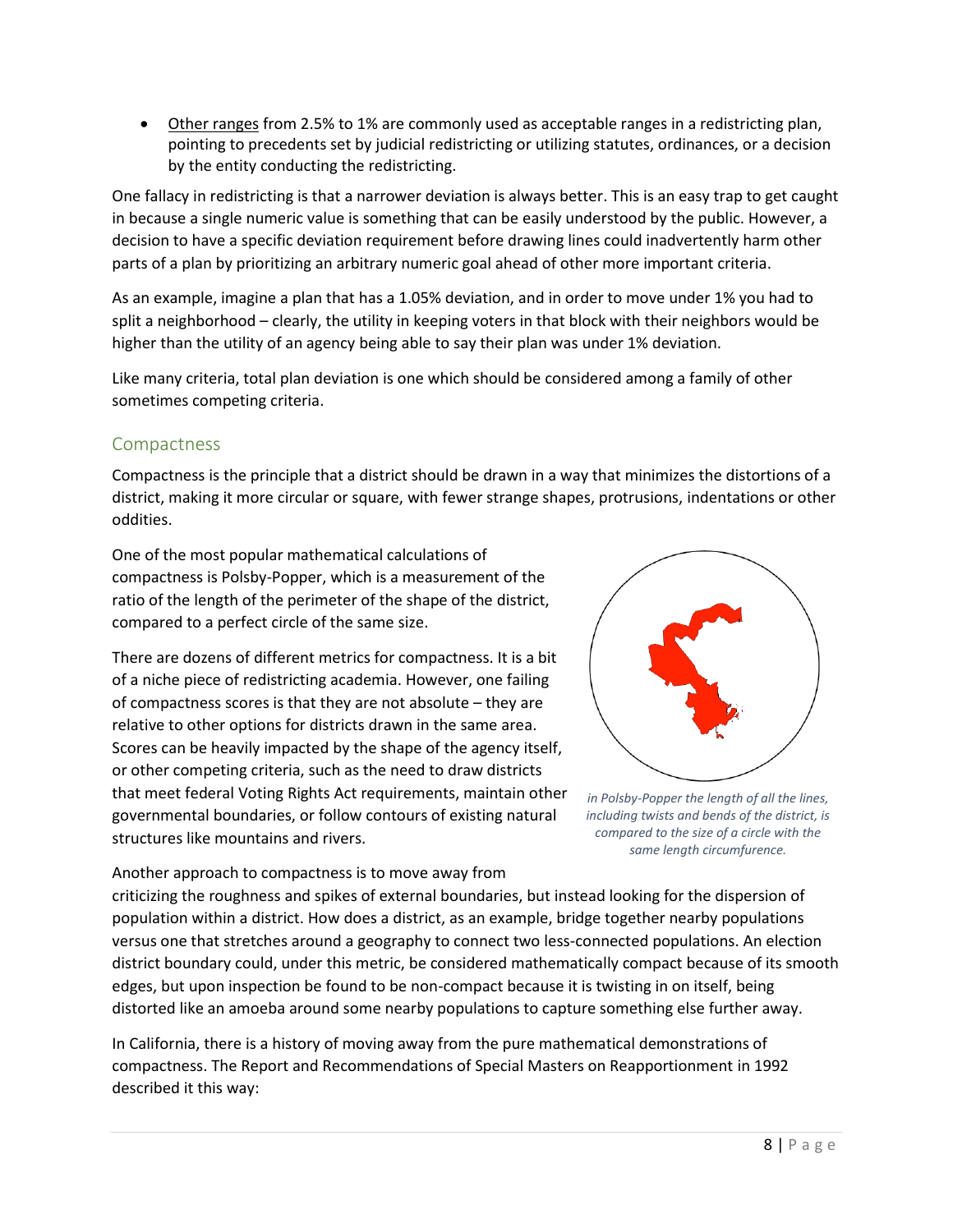• Other ranges from 2.5% to 1% are commonly used as acceptable ranges in a redistricting plan, pointing to precedents set by judicial redistricting or utilizing statutes, ordinances, or a decision by the entity conducting the redistricting.

One fallacy in redistricting is that a narrower deviation is always better. This is an easy trap to get caught in because a single numeric value is something that can be easily understood by the public. However, a decision to have a specific deviation requirement before drawing lines could inadvertently harm other parts of a plan by prioritizing an arbitrary numeric goal ahead of other more important criteria.

As an example, imagine a plan that has a 1.05% deviation, and in order to move under 1% you had to split a neighborhood – clearly, the utility in keeping voters in that block with their neighbors would be higher than the utility of an agency being able to say their plan was under 1% deviation.

Like many criteria, total plan deviation is one which should be considered among a family of other sometimes competing criteria.

#### Compactness

Compactness is the principle that a district should be drawn in a way that minimizes the distortions of a district, making it more circular or square, with fewer strange shapes, protrusions, indentations or other oddities.

One of the most popular mathematical calculations of compactness is Polsby-Popper, which is a measurement of the ratio of the length of the perimeter of the shape of the district, compared to a perfect circle of the same size.

There are dozens of different metrics for compactness. It is a bit of a niche piece of redistricting academia. However, one failing of compactness scores is that they are not absolute – they are relative to other options for districts drawn in the same area. Scores can be heavily impacted by the shape of the agency itself, or other competing criteria, such as the need to draw districts that meet federal Voting Rights Act requirements, maintain other governmental boundaries, or follow contours of existing natural structures like mountains and rivers.



*in Polsby-Popper the length of all the lines, including twists and bends of the district, is compared to the size of a circle with the same length circumfurence.*

Another approach to compactness is to move away from criticizing the roughness and spikes of external boundaries, but instead looking for the dispersion of population within a district. How does a district, as an example, bridge together nearby populations versus one that stretches around a geography to connect two less-connected populations. An election district boundary could, under this metric, be considered mathematically compact because of its smooth edges, but upon inspection be found to be non-compact because it is twisting in on itself, being distorted like an amoeba around some nearby populations to capture something else further away.

In California, there is a history of moving away from the pure mathematical demonstrations of compactness. The Report and Recommendations of Special Masters on Reapportionment in 1992 described it this way: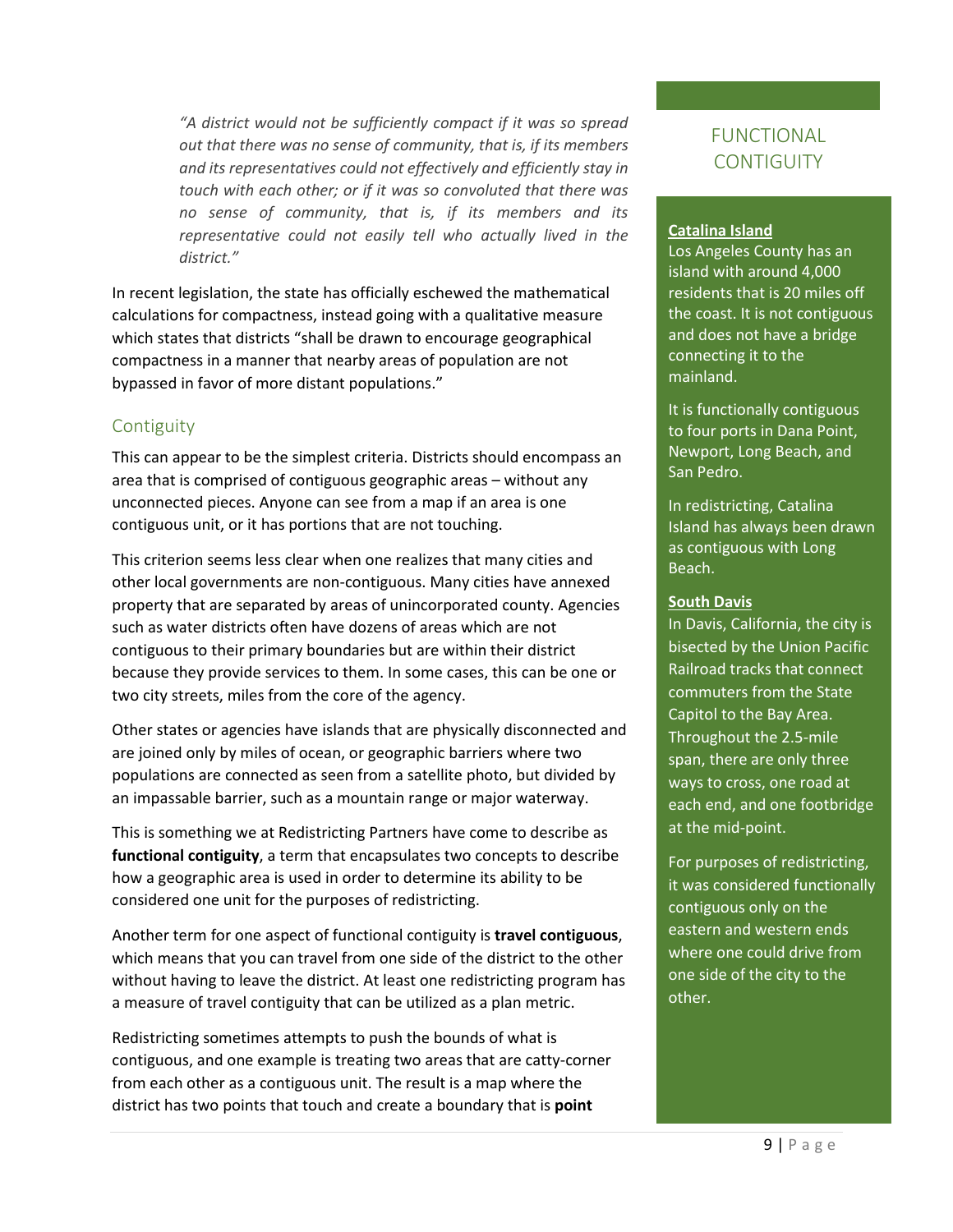*"A district would not be sufficiently compact if it was so spread out that there was no sense of community, that is, if its members and its representatives could not effectively and efficiently stay in touch with each other; or if it was so convoluted that there was no sense of community, that is, if its members and its representative could not easily tell who actually lived in the district."*

In recent legislation, the state has officially eschewed the mathematical calculations for compactness, instead going with a qualitative measure which states that districts "shall be drawn to encourage geographical compactness in a manner that nearby areas of population are not bypassed in favor of more distant populations."

### **Contiguity**

This can appear to be the simplest criteria. Districts should encompass an area that is comprised of contiguous geographic areas – without any unconnected pieces. Anyone can see from a map if an area is one contiguous unit, or it has portions that are not touching.

This criterion seems less clear when one realizes that many cities and other local governments are non-contiguous. Many cities have annexed property that are separated by areas of unincorporated county. Agencies such as water districts often have dozens of areas which are not contiguous to their primary boundaries but are within their district because they provide services to them. In some cases, this can be one or two city streets, miles from the core of the agency.

Other states or agencies have islands that are physically disconnected and are joined only by miles of ocean, or geographic barriers where two populations are connected as seen from a satellite photo, but divided by an impassable barrier, such as a mountain range or major waterway.

This is something we at Redistricting Partners have come to describe as **functional contiguity**, a term that encapsulates two concepts to describe how a geographic area is used in order to determine its ability to be considered one unit for the purposes of redistricting.

Another term for one aspect of functional contiguity is **travel contiguous**, which means that you can travel from one side of the district to the other without having to leave the district. At least one redistricting program has a measure of travel contiguity that can be utilized as a plan metric.

Redistricting sometimes attempts to push the bounds of what is contiguous, and one example is treating two areas that are catty-corner from each other as a contiguous unit. The result is a map where the district has two points that touch and create a boundary that is **point** 

# FUNCTIONAL **CONTIGUITY**

#### **Catalina Island**

Los Angeles County has an island with around 4,000 residents that is 20 miles off the coast. It is not contiguous and does not have a bridge connecting it to the mainland.

It is functionally contiguous to four ports in Dana Point, Newport, Long Beach, and San Pedro.

In redistricting, Catalina Island has always been drawn as contiguous with Long Beach.

#### **South Davis**

In Davis, California, the city is bisected by the Union Pacific Railroad tracks that connect commuters from the State Capitol to the Bay Area. Throughout the 2.5-mile span, there are only three ways to cross, one road at each end, and one footbridge at the mid-point.

For purposes of redistricting, it was considered functionally contiguous only on the eastern and western ends where one could drive from one side of the city to the other.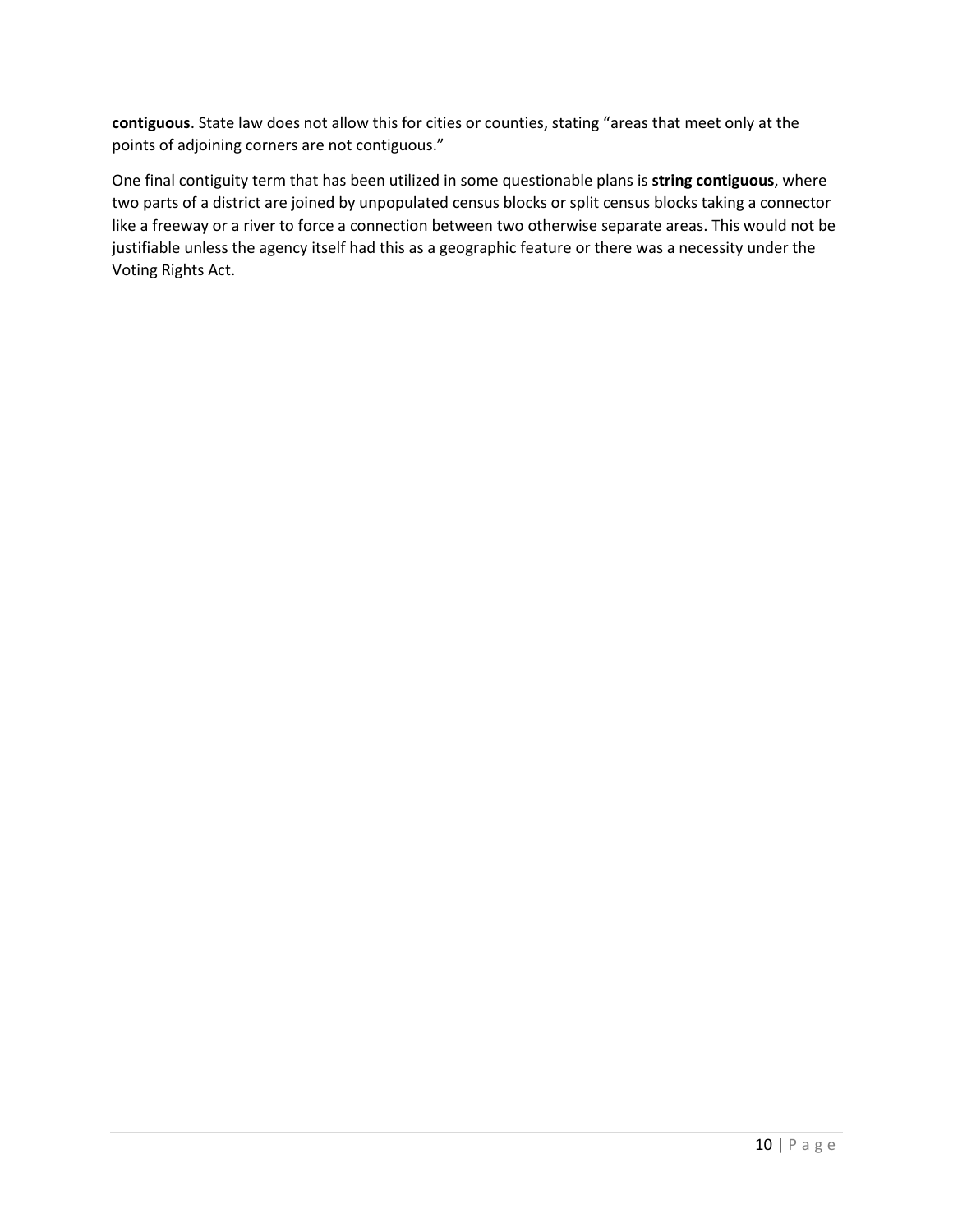**contiguous**. State law does not allow this for cities or counties, stating "areas that meet only at the points of adjoining corners are not contiguous."

One final contiguity term that has been utilized in some questionable plans is **string contiguous**, where two parts of a district are joined by unpopulated census blocks or split census blocks taking a connector like a freeway or a river to force a connection between two otherwise separate areas. This would not be justifiable unless the agency itself had this as a geographic feature or there was a necessity under the Voting Rights Act.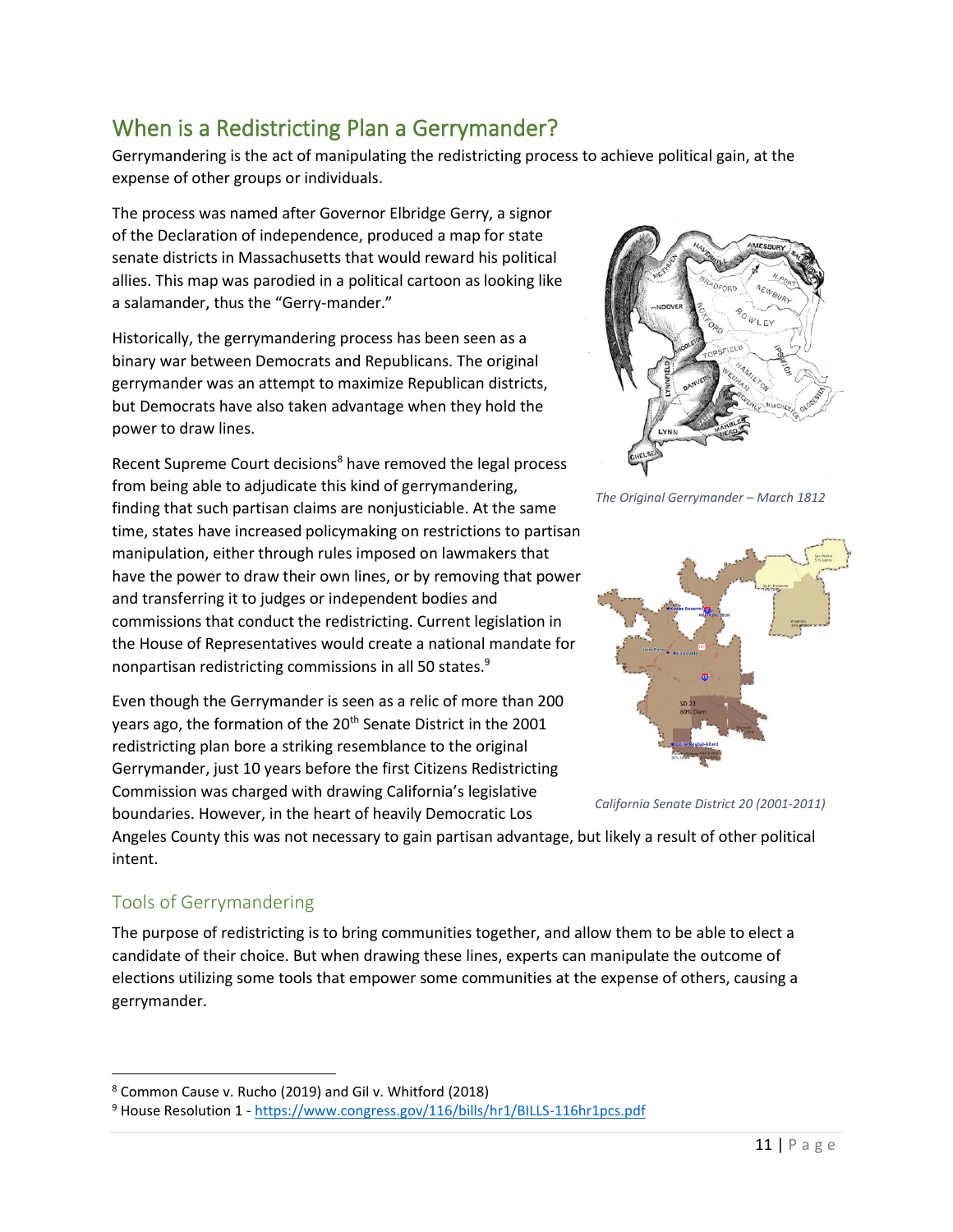# When is a Redistricting Plan a Gerrymander?

Gerrymandering is the act of manipulating the redistricting process to achieve political gain, at the expense of other groups or individuals.

The process was named after Governor Elbridge Gerry, a signor of the Declaration of independence, produced a map for state senate districts in Massachusetts that would reward his political allies. This map was parodied in a political cartoon as looking like a salamander, thus the "Gerry-mander."

Historically, the gerrymandering process has been seen as a binary war between Democrats and Republicans. The original gerrymander was an attempt to maximize Republican districts, but Democrats have also taken advantage when they hold the power to draw lines.

Recent Supreme Court decisions<sup>8</sup> have removed the legal process from being able to adjudicate this kind of gerrymandering, finding that such partisan claims are nonjusticiable. At the same time, states have increased policymaking on restrictions to partisan manipulation, either through rules imposed on lawmakers that have the power to draw their own lines, or by removing that power and transferring it to judges or independent bodies and commissions that conduct the redistricting. Current legislation in the House of Representatives would create a national mandate for nonpartisan redistricting commissions in all 50 states.<sup>9</sup>

Even though the Gerrymander is seen as a relic of more than 200 years ago, the formation of the 20<sup>th</sup> Senate District in the 2001 redistricting plan bore a striking resemblance to the original Gerrymander, just 10 years before the first Citizens Redistricting Commission was charged with drawing California's legislative boundaries. However, in the heart of heavily Democratic Los



*The Original Gerrymander – March 1812*



*California Senate District 20 (2001-2011)*

Angeles County this was not necessary to gain partisan advantage, but likely a result of other political intent.

# Tools of Gerrymandering

The purpose of redistricting is to bring communities together, and allow them to be able to elect a candidate of their choice. But when drawing these lines, experts can manipulate the outcome of elections utilizing some tools that empower some communities at the expense of others, causing a gerrymander.

<sup>8</sup> Common Cause v. Rucho (2019) and Gil v. Whitford (2018)

<sup>&</sup>lt;sup>9</sup> House Resolution 1 - <https://www.congress.gov/116/bills/hr1/BILLS-116hr1pcs.pdf>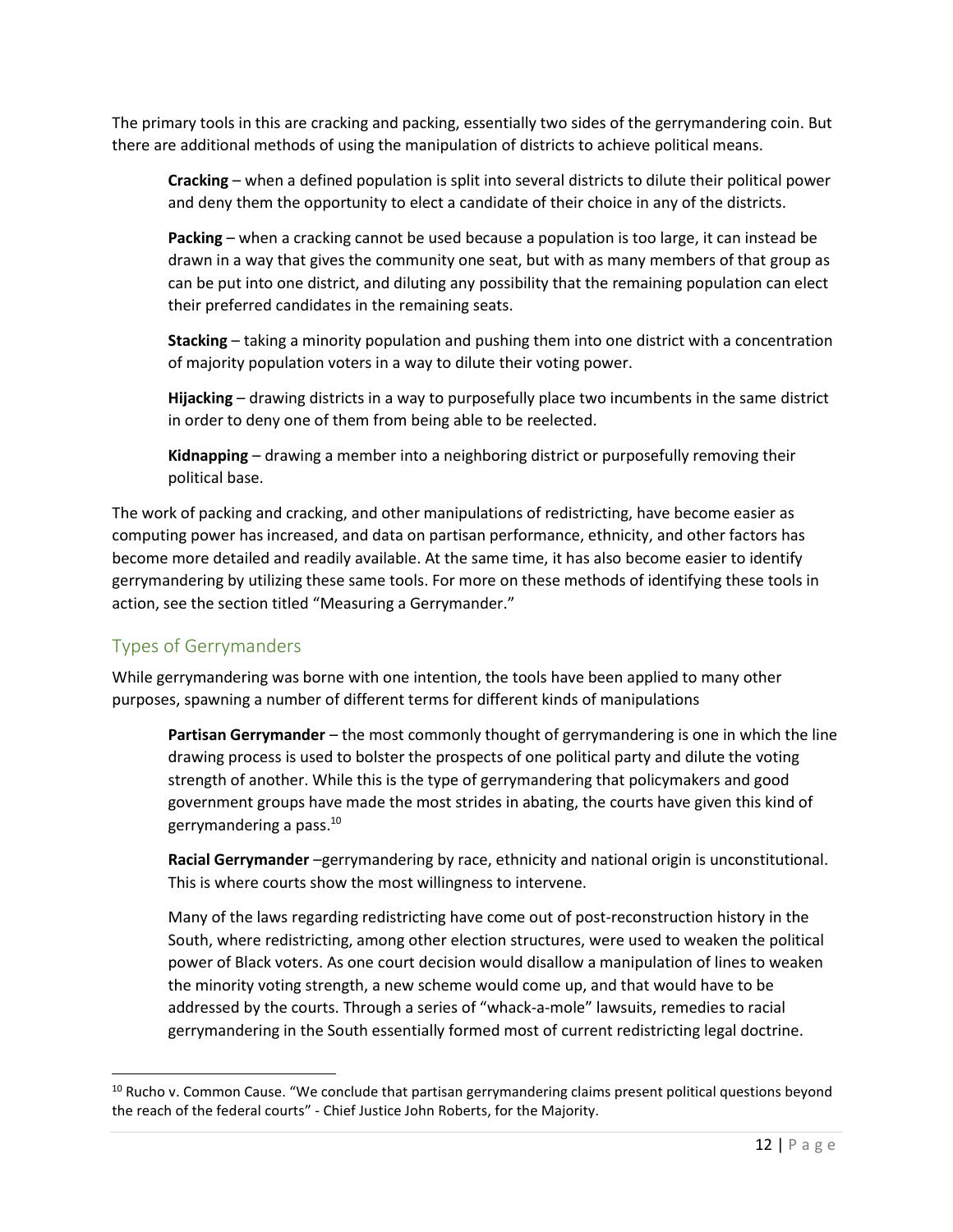The primary tools in this are cracking and packing, essentially two sides of the gerrymandering coin. But there are additional methods of using the manipulation of districts to achieve political means.

**Cracking** – when a defined population is split into several districts to dilute their political power and deny them the opportunity to elect a candidate of their choice in any of the districts.

**Packing** – when a cracking cannot be used because a population is too large, it can instead be drawn in a way that gives the community one seat, but with as many members of that group as can be put into one district, and diluting any possibility that the remaining population can elect their preferred candidates in the remaining seats.

**Stacking** – taking a minority population and pushing them into one district with a concentration of majority population voters in a way to dilute their voting power.

**Hijacking** – drawing districts in a way to purposefully place two incumbents in the same district in order to deny one of them from being able to be reelected.

**Kidnapping** – drawing a member into a neighboring district or purposefully removing their political base.

The work of packing and cracking, and other manipulations of redistricting, have become easier as computing power has increased, and data on partisan performance, ethnicity, and other factors has become more detailed and readily available. At the same time, it has also become easier to identify gerrymandering by utilizing these same tools. For more on these methods of identifying these tools in action, see the section titled "Measuring a Gerrymander."

# Types of Gerrymanders

While gerrymandering was borne with one intention, the tools have been applied to many other purposes, spawning a number of different terms for different kinds of manipulations

**Partisan Gerrymander** – the most commonly thought of gerrymandering is one in which the line drawing process is used to bolster the prospects of one political party and dilute the voting strength of another. While this is the type of gerrymandering that policymakers and good government groups have made the most strides in abating, the courts have given this kind of gerrymandering a pass.<sup>10</sup>

**Racial Gerrymander** –gerrymandering by race, ethnicity and national origin is unconstitutional. This is where courts show the most willingness to intervene.

Many of the laws regarding redistricting have come out of post-reconstruction history in the South, where redistricting, among other election structures, were used to weaken the political power of Black voters. As one court decision would disallow a manipulation of lines to weaken the minority voting strength, a new scheme would come up, and that would have to be addressed by the courts. Through a series of "whack-a-mole" lawsuits, remedies to racial gerrymandering in the South essentially formed most of current redistricting legal doctrine.

<sup>&</sup>lt;sup>10</sup> Rucho v. Common Cause. "We conclude that partisan gerrymandering claims present political questions beyond the reach of the federal courts" - Chief Justice John Roberts, for the Majority.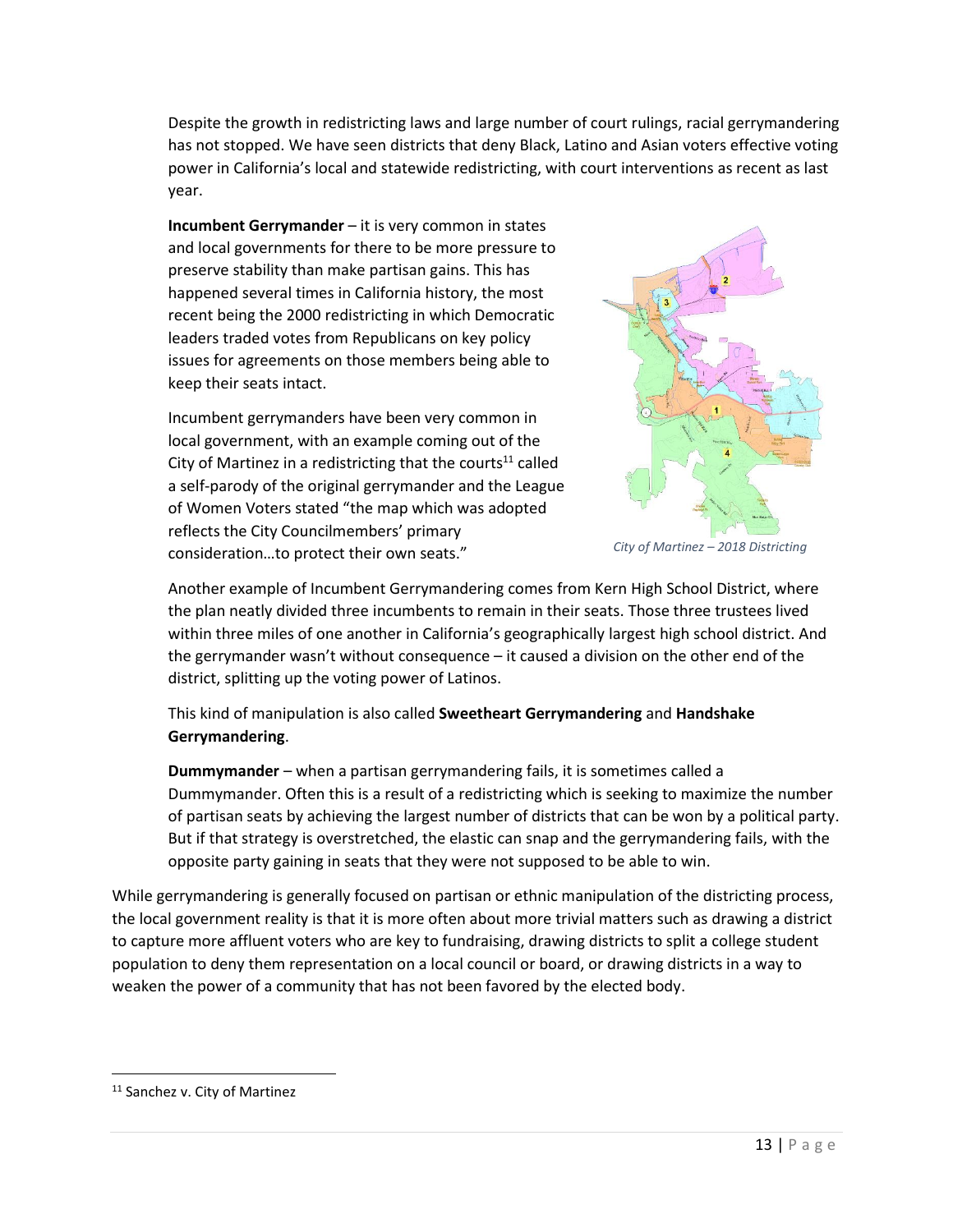Despite the growth in redistricting laws and large number of court rulings, racial gerrymandering has not stopped. We have seen districts that deny Black, Latino and Asian voters effective voting power in California's local and statewide redistricting, with court interventions as recent as last year.

**Incumbent Gerrymander** – it is very common in states and local governments for there to be more pressure to preserve stability than make partisan gains. This has happened several times in California history, the most recent being the 2000 redistricting in which Democratic leaders traded votes from Republicans on key policy issues for agreements on those members being able to keep their seats intact.

Incumbent gerrymanders have been very common in local government, with an example coming out of the City of Martinez in a redistricting that the courts<sup>11</sup> called a self-parody of the original gerrymander and the League of Women Voters stated "the map which was adopted reflects the City Councilmembers' primary consideration…to protect their own seats."



*City of Martinez – 2018 Districting*

Another example of Incumbent Gerrymandering comes from Kern High School District, where the plan neatly divided three incumbents to remain in their seats. Those three trustees lived within three miles of one another in California's geographically largest high school district. And the gerrymander wasn't without consequence – it caused a division on the other end of the district, splitting up the voting power of Latinos.

This kind of manipulation is also called **Sweetheart Gerrymandering** and **Handshake Gerrymandering**.

**Dummymander** – when a partisan gerrymandering fails, it is sometimes called a Dummymander. Often this is a result of a redistricting which is seeking to maximize the number of partisan seats by achieving the largest number of districts that can be won by a political party. But if that strategy is overstretched, the elastic can snap and the gerrymandering fails, with the opposite party gaining in seats that they were not supposed to be able to win.

While gerrymandering is generally focused on partisan or ethnic manipulation of the districting process, the local government reality is that it is more often about more trivial matters such as drawing a district to capture more affluent voters who are key to fundraising, drawing districts to split a college student population to deny them representation on a local council or board, or drawing districts in a way to weaken the power of a community that has not been favored by the elected body.

<sup>&</sup>lt;sup>11</sup> Sanchez v. City of Martinez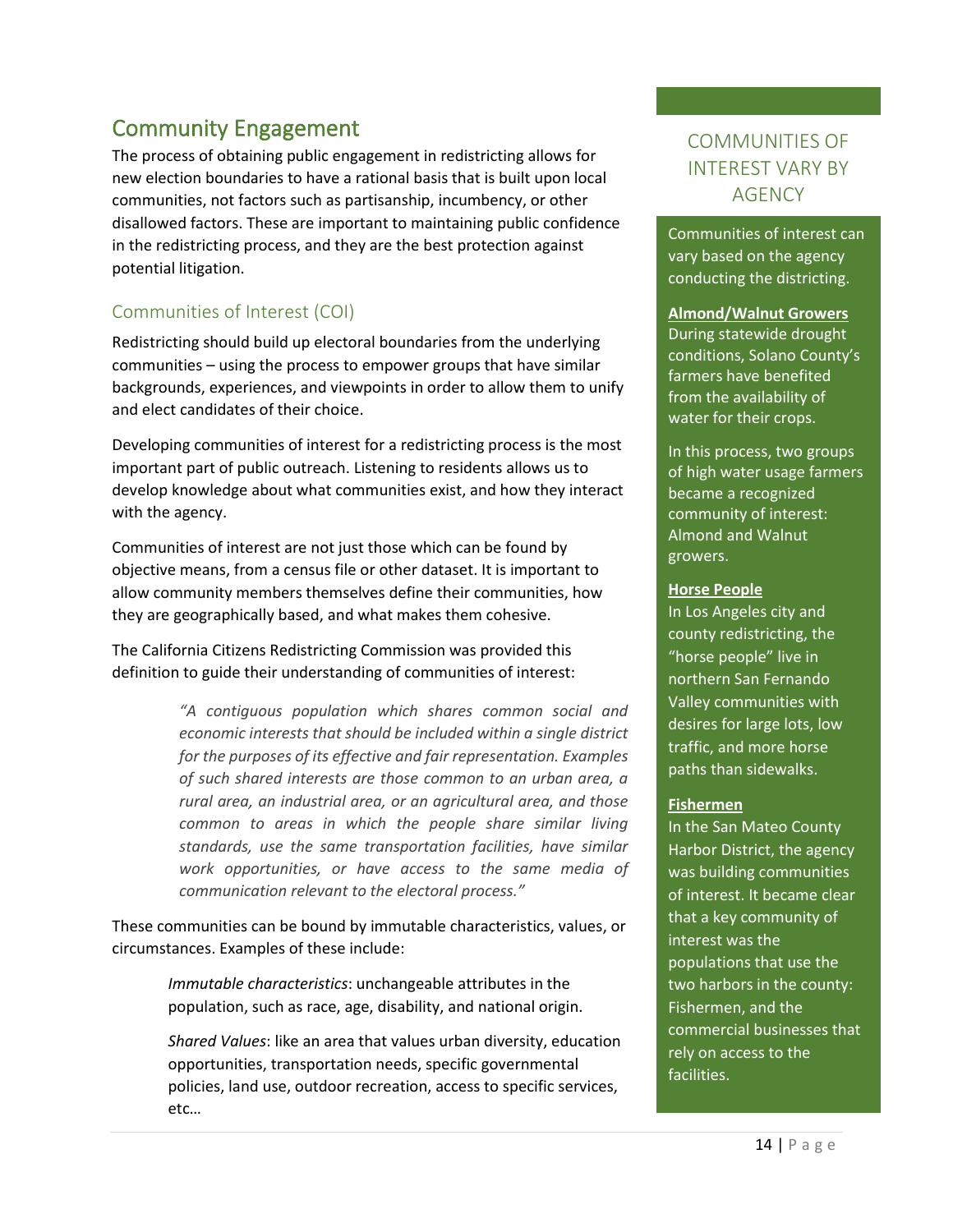# Community Engagement

The process of obtaining public engagement in redistricting allows for new election boundaries to have a rational basis that is built upon local communities, not factors such as partisanship, incumbency, or other disallowed factors. These are important to maintaining public confidence in the redistricting process, and they are the best protection against potential litigation.

# Communities of Interest (COI)

Redistricting should build up electoral boundaries from the underlying communities – using the process to empower groups that have similar backgrounds, experiences, and viewpoints in order to allow them to unify and elect candidates of their choice.

Developing communities of interest for a redistricting process is the most important part of public outreach. Listening to residents allows us to develop knowledge about what communities exist, and how they interact with the agency.

Communities of interest are not just those which can be found by objective means, from a census file or other dataset. It is important to allow community members themselves define their communities, how they are geographically based, and what makes them cohesive.

The California Citizens Redistricting Commission was provided this definition to guide their understanding of communities of interest:

> *"A contiguous population which shares common social and economic interests that should be included within a single district for the purposes of its effective and fair representation. Examples of such shared interests are those common to an urban area, a rural area, an industrial area, or an agricultural area, and those common to areas in which the people share similar living standards, use the same transportation facilities, have similar work opportunities, or have access to the same media of communication relevant to the electoral process."*

These communities can be bound by immutable characteristics, values, or circumstances. Examples of these include:

> *Immutable characteristics*: unchangeable attributes in the population, such as race, age, disability, and national origin.

*Shared Values*: like an area that values urban diversity, education opportunities, transportation needs, specific governmental policies, land use, outdoor recreation, access to specific services, etc…

# COMMUNITIES OF INTEREST VARY BY **AGENCY**

Communities of interest can vary based on the agency conducting the districting.

**Almond/Walnut Growers** During statewide drought conditions, Solano County's farmers have benefited from the availability of water for their crops.

In this process, two groups of high water usage farmers became a recognized community of interest: Almond and Walnut growers.

#### **Horse People**

In Los Angeles city and county redistricting, the "horse people" live in northern San Fernando Valley communities with desires for large lots, low traffic, and more horse paths than sidewalks.

#### **Fishermen**

In the San Mateo County Harbor District, the agency was building communities of interest. It became clear that a key community of interest was the populations that use the two harbors in the county: Fishermen, and the commercial businesses that rely on access to the facilities.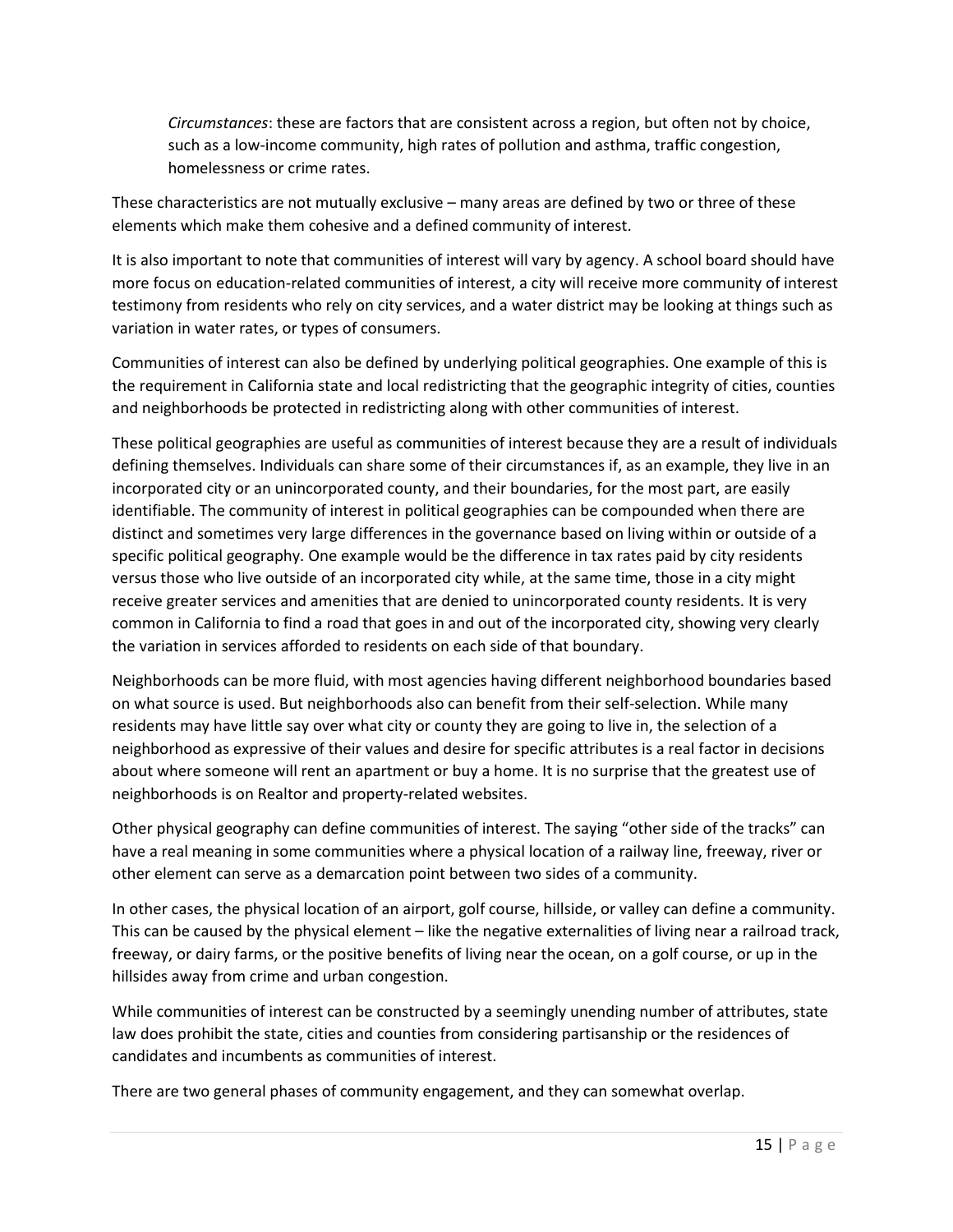*Circumstances*: these are factors that are consistent across a region, but often not by choice, such as a low-income community, high rates of pollution and asthma, traffic congestion, homelessness or crime rates.

These characteristics are not mutually exclusive – many areas are defined by two or three of these elements which make them cohesive and a defined community of interest.

It is also important to note that communities of interest will vary by agency. A school board should have more focus on education-related communities of interest, a city will receive more community of interest testimony from residents who rely on city services, and a water district may be looking at things such as variation in water rates, or types of consumers.

Communities of interest can also be defined by underlying political geographies. One example of this is the requirement in California state and local redistricting that the geographic integrity of cities, counties and neighborhoods be protected in redistricting along with other communities of interest.

These political geographies are useful as communities of interest because they are a result of individuals defining themselves. Individuals can share some of their circumstances if, as an example, they live in an incorporated city or an unincorporated county, and their boundaries, for the most part, are easily identifiable. The community of interest in political geographies can be compounded when there are distinct and sometimes very large differences in the governance based on living within or outside of a specific political geography. One example would be the difference in tax rates paid by city residents versus those who live outside of an incorporated city while, at the same time, those in a city might receive greater services and amenities that are denied to unincorporated county residents. It is very common in California to find a road that goes in and out of the incorporated city, showing very clearly the variation in services afforded to residents on each side of that boundary.

Neighborhoods can be more fluid, with most agencies having different neighborhood boundaries based on what source is used. But neighborhoods also can benefit from their self-selection. While many residents may have little say over what city or county they are going to live in, the selection of a neighborhood as expressive of their values and desire for specific attributes is a real factor in decisions about where someone will rent an apartment or buy a home. It is no surprise that the greatest use of neighborhoods is on Realtor and property-related websites.

Other physical geography can define communities of interest. The saying "other side of the tracks" can have a real meaning in some communities where a physical location of a railway line, freeway, river or other element can serve as a demarcation point between two sides of a community.

In other cases, the physical location of an airport, golf course, hillside, or valley can define a community. This can be caused by the physical element – like the negative externalities of living near a railroad track, freeway, or dairy farms, or the positive benefits of living near the ocean, on a golf course, or up in the hillsides away from crime and urban congestion.

While communities of interest can be constructed by a seemingly unending number of attributes, state law does prohibit the state, cities and counties from considering partisanship or the residences of candidates and incumbents as communities of interest.

There are two general phases of community engagement, and they can somewhat overlap.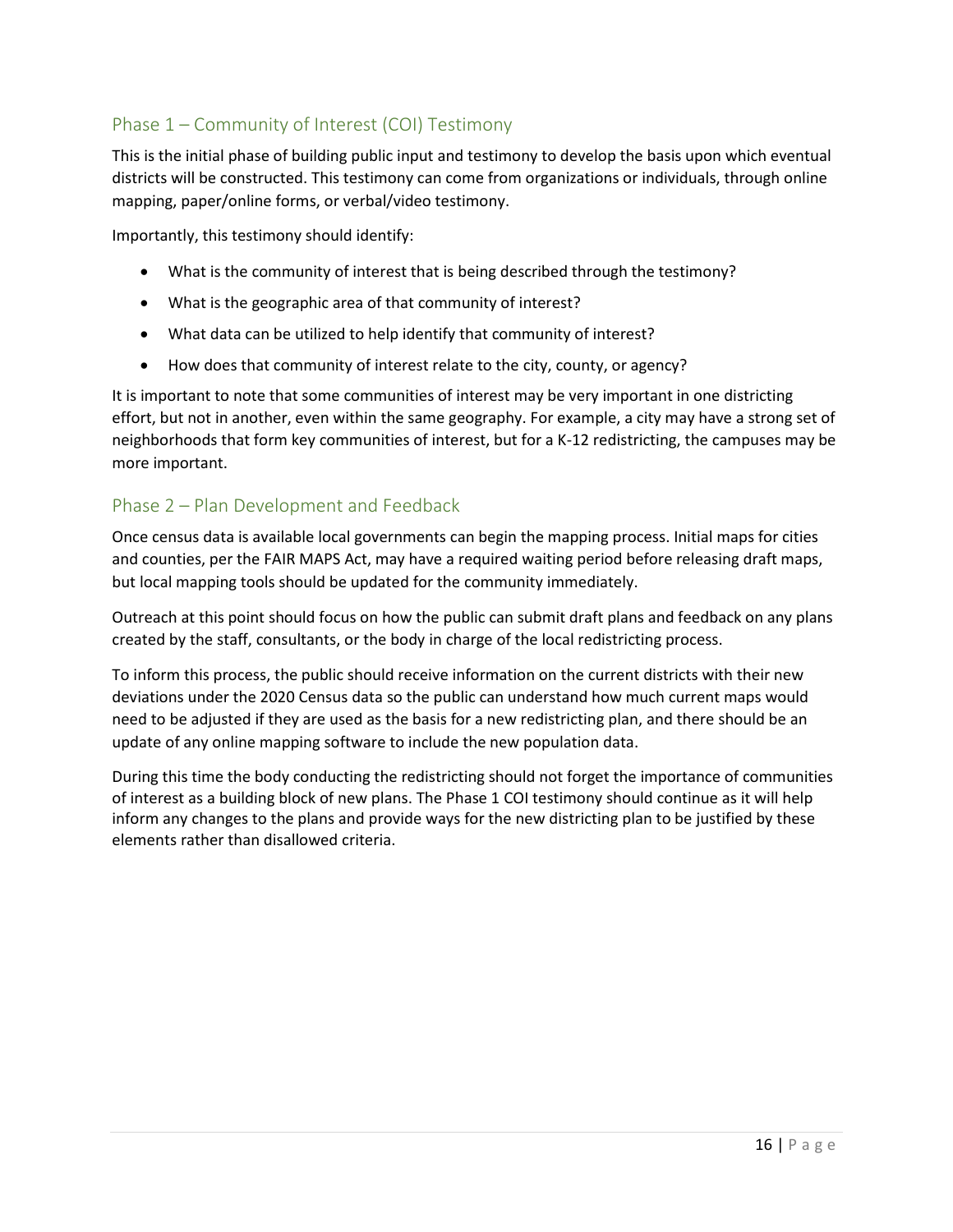# Phase 1 – Community of Interest (COI) Testimony

This is the initial phase of building public input and testimony to develop the basis upon which eventual districts will be constructed. This testimony can come from organizations or individuals, through online mapping, paper/online forms, or verbal/video testimony.

Importantly, this testimony should identify:

- What is the community of interest that is being described through the testimony?
- What is the geographic area of that community of interest?
- What data can be utilized to help identify that community of interest?
- How does that community of interest relate to the city, county, or agency?

It is important to note that some communities of interest may be very important in one districting effort, but not in another, even within the same geography. For example, a city may have a strong set of neighborhoods that form key communities of interest, but for a K-12 redistricting, the campuses may be more important.

### Phase 2 – Plan Development and Feedback

Once census data is available local governments can begin the mapping process. Initial maps for cities and counties, per the FAIR MAPS Act, may have a required waiting period before releasing draft maps, but local mapping tools should be updated for the community immediately.

Outreach at this point should focus on how the public can submit draft plans and feedback on any plans created by the staff, consultants, or the body in charge of the local redistricting process.

To inform this process, the public should receive information on the current districts with their new deviations under the 2020 Census data so the public can understand how much current maps would need to be adjusted if they are used as the basis for a new redistricting plan, and there should be an update of any online mapping software to include the new population data.

During this time the body conducting the redistricting should not forget the importance of communities of interest as a building block of new plans. The Phase 1 COI testimony should continue as it will help inform any changes to the plans and provide ways for the new districting plan to be justified by these elements rather than disallowed criteria.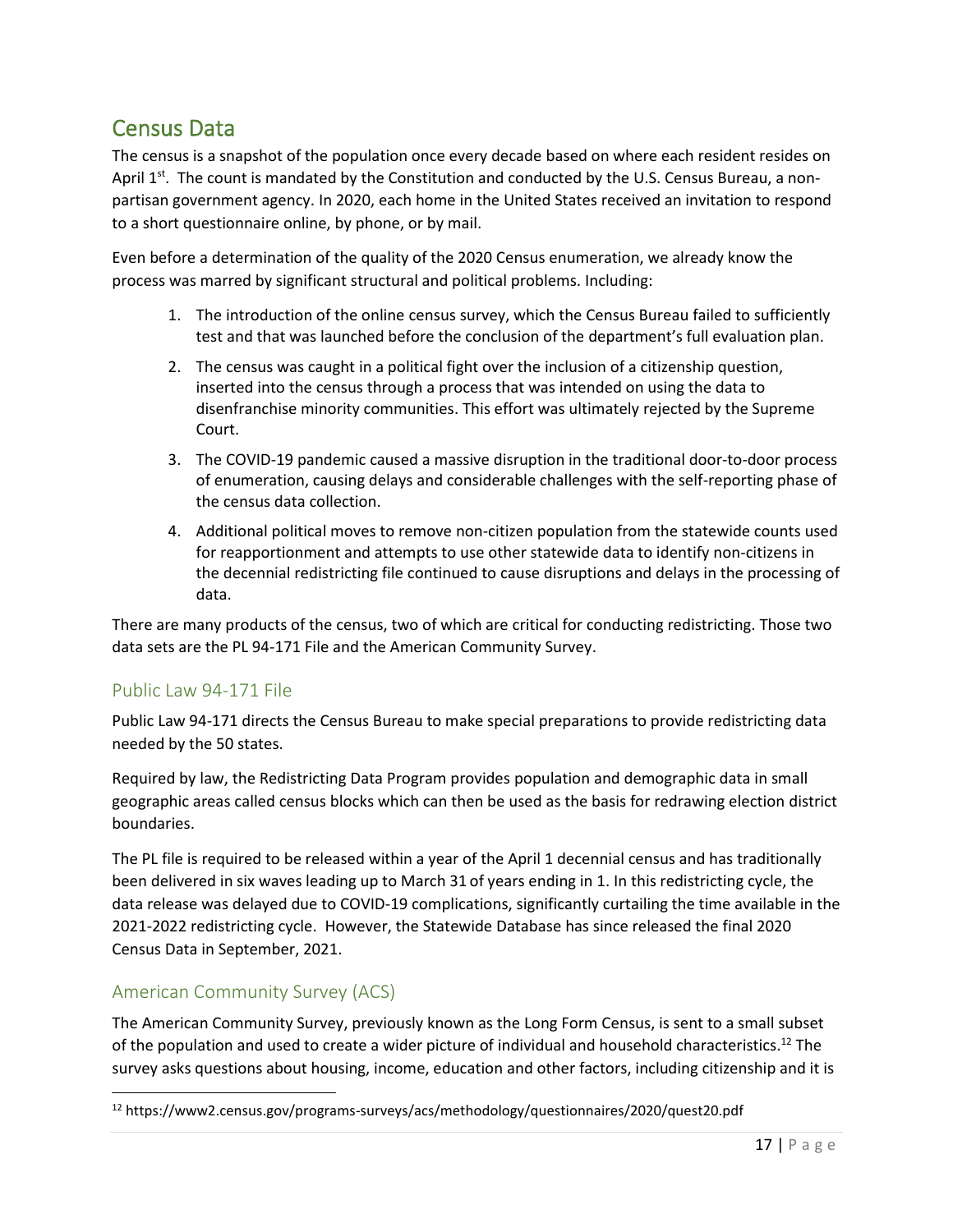# Census Data

The census is a snapshot of the population once every decade based on where each resident resides on April 1<sup>st</sup>. The count is mandated by the Constitution and conducted by the U.S. Census Bureau, a nonpartisan government agency. In 2020, each home in the United States received an invitation to respond to a short questionnaire online, by phone, or by mail.

Even before a determination of the quality of the 2020 Census enumeration, we already know the process was marred by significant structural and political problems. Including:

- 1. The introduction of the online census survey, which the Census Bureau failed to sufficiently test and that was launched before the conclusion of the department's full evaluation plan.
- 2. The census was caught in a political fight over the inclusion of a citizenship question, inserted into the census through a process that was intended on using the data to disenfranchise minority communities. This effort was ultimately rejected by the Supreme Court.
- 3. The COVID-19 pandemic caused a massive disruption in the traditional door-to-door process of enumeration, causing delays and considerable challenges with the self-reporting phase of the census data collection.
- 4. Additional political moves to remove non-citizen population from the statewide counts used for reapportionment and attempts to use other statewide data to identify non-citizens in the decennial redistricting file continued to cause disruptions and delays in the processing of data.

There are many products of the census, two of which are critical for conducting redistricting. Those two data sets are the PL 94-171 File and the American Community Survey.

### Public Law 94-171 File

Public Law 94-171 directs the Census Bureau to make special preparations to provide redistricting data needed by the 50 states.

Required by law, the Redistricting Data Program provides population and demographic data in small geographic areas called census blocks which can then be used as the basis for redrawing election district boundaries.

The PL file is required to be released within a year of the April 1 decennial census and has traditionally been delivered in six waves leading up to March 31 of years ending in 1. In this redistricting cycle, the data release was delayed due to COVID-19 complications, significantly curtailing the time available in the 2021-2022 redistricting cycle. However, the Statewide Database has since released the final 2020 Census Data in September, 2021.

# American Community Survey (ACS)

The American Community Survey, previously known as the Long Form Census, is sent to a small subset of the population and used to create a wider picture of individual and household characteristics.<sup>12</sup> The survey asks questions about housing, income, education and other factors, including citizenship and it is

<sup>12</sup> https://www2.census.gov/programs-surveys/acs/methodology/questionnaires/2020/quest20.pdf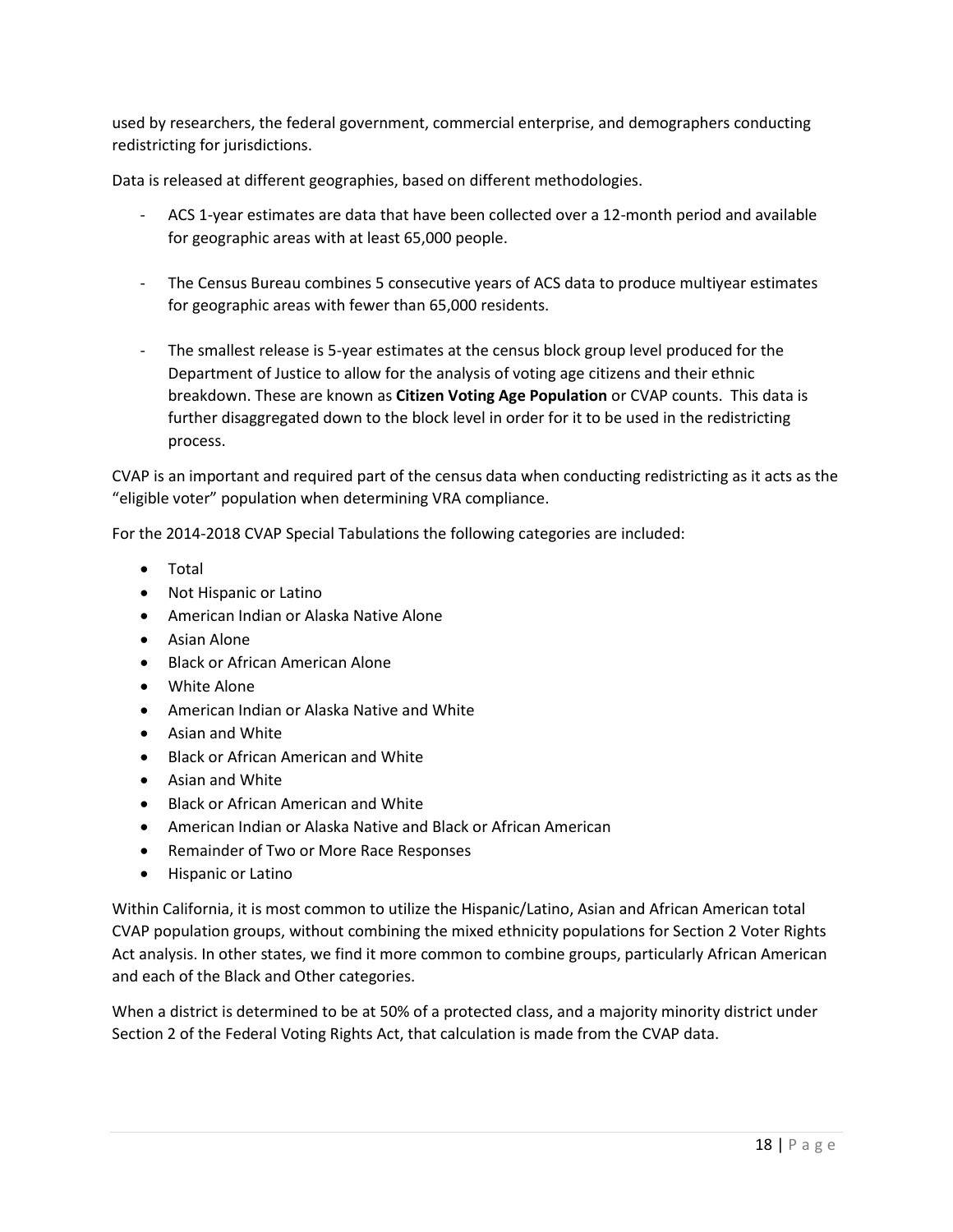used by researchers, the federal government, commercial enterprise, and demographers conducting redistricting for jurisdictions.

Data is released at different geographies, based on different methodologies.

- ACS 1-year estimates are data that have been collected over a 12-month period and available for geographic areas with at least 65,000 people.
- The Census Bureau combines 5 consecutive years of ACS data to produce multiyear estimates for geographic areas with fewer than 65,000 residents.
- The smallest release is 5-year estimates at the census block group level produced for the Department of Justice to allow for the analysis of voting age citizens and their ethnic breakdown. These are known as **Citizen Voting Age Population** or CVAP counts. This data is further disaggregated down to the block level in order for it to be used in the redistricting process.

CVAP is an important and required part of the census data when conducting redistricting as it acts as the "eligible voter" population when determining VRA compliance.

For the 2014-2018 CVAP Special Tabulations the following categories are included:

- Total
- Not Hispanic or Latino
- American Indian or Alaska Native Alone
- Asian Alone
- Black or African American Alone
- White Alone
- American Indian or Alaska Native and White
- Asian and White
- Black or African American and White
- Asian and White
- Black or African American and White
- American Indian or Alaska Native and Black or African American
- Remainder of Two or More Race Responses
- Hispanic or Latino

Within California, it is most common to utilize the Hispanic/Latino, Asian and African American total CVAP population groups, without combining the mixed ethnicity populations for Section 2 Voter Rights Act analysis. In other states, we find it more common to combine groups, particularly African American and each of the Black and Other categories.

When a district is determined to be at 50% of a protected class, and a majority minority district under Section 2 of the Federal Voting Rights Act, that calculation is made from the CVAP data.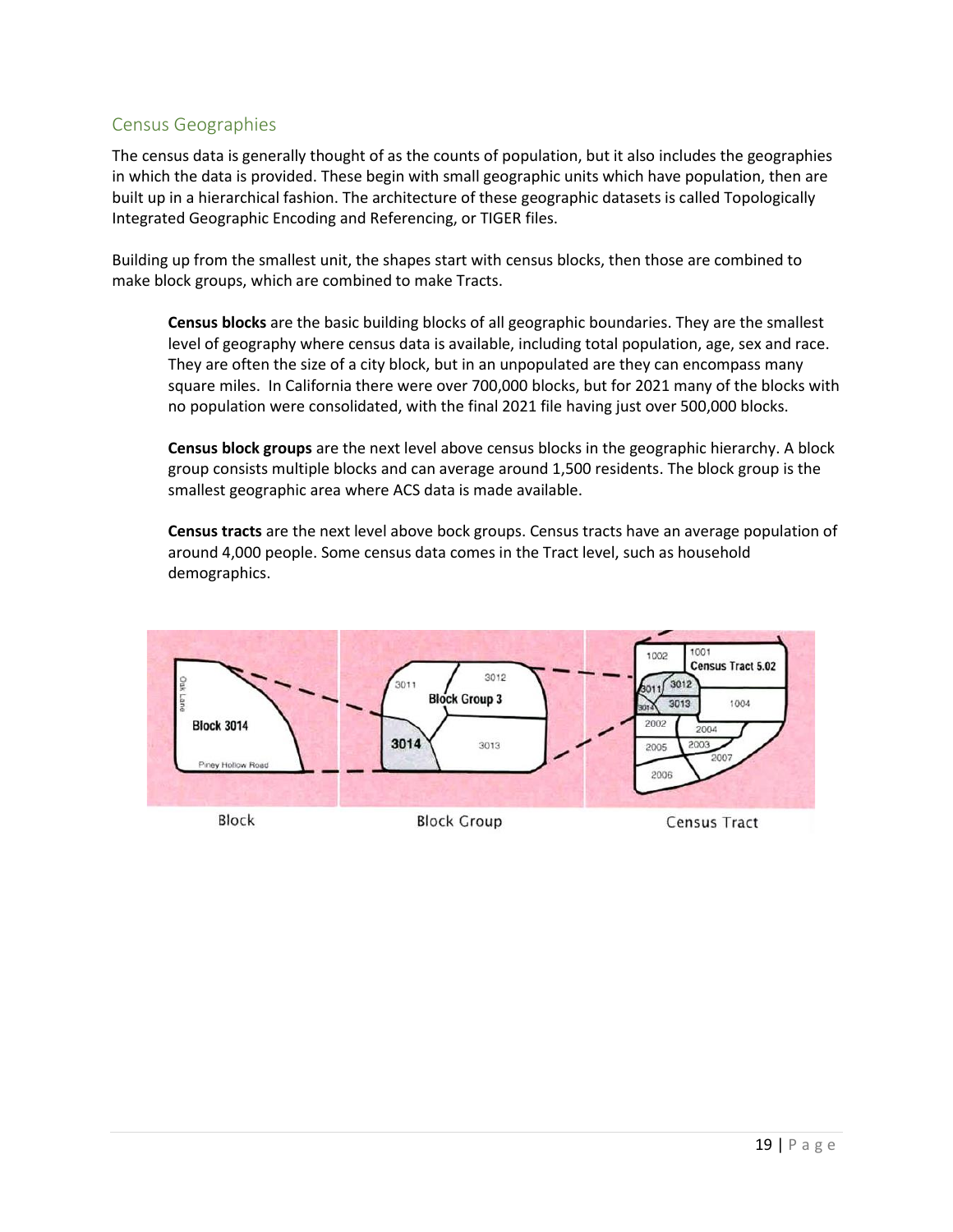### Census Geographies

The census data is generally thought of as the counts of population, but it also includes the geographies in which the data is provided. These begin with small geographic units which have population, then are built up in a hierarchical fashion. The architecture of these geographic datasets is called Topologically Integrated Geographic Encoding and Referencing, or TIGER files.

Building up from the smallest unit, the shapes start with census blocks, then those are combined to make block groups, which are combined to make Tracts.

**Census blocks** are the basic building blocks of all geographic boundaries. They are the smallest level of geography where census data is available, including total population, age, sex and race. They are often the size of a city block, but in an unpopulated are they can encompass many square miles. In California there were over 700,000 blocks, but for 2021 many of the blocks with no population were consolidated, with the final 2021 file having just over 500,000 blocks.

**Census block groups** are the next level above census blocks in the geographic hierarchy. A block group consists multiple blocks and can average around 1,500 residents. The block group is the smallest geographic area where ACS data is made available.

**Census tracts** are the next level above bock groups. Census tracts have an average population of around 4,000 people. Some census data comes in the Tract level, such as household demographics.

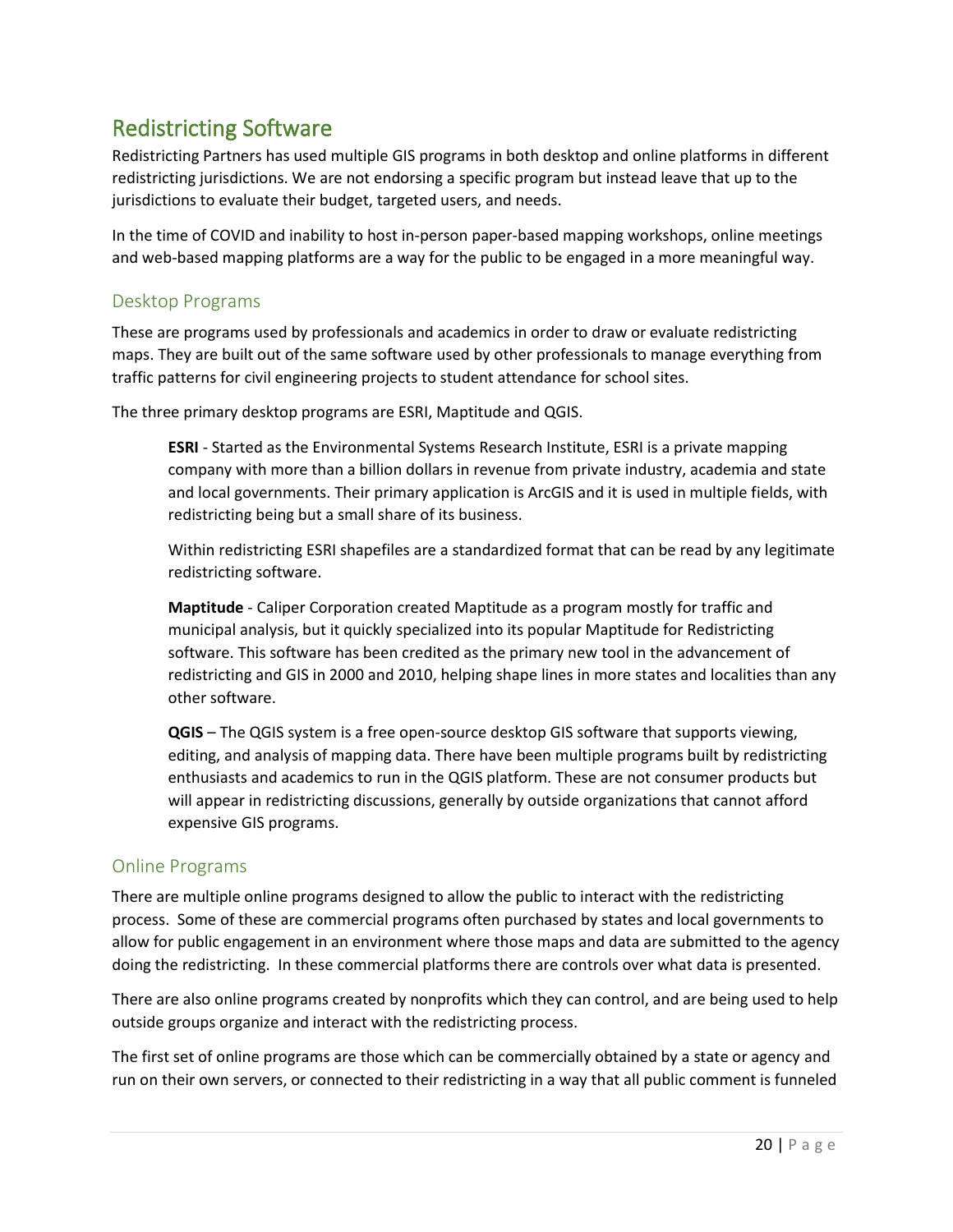# Redistricting Software

Redistricting Partners has used multiple GIS programs in both desktop and online platforms in different redistricting jurisdictions. We are not endorsing a specific program but instead leave that up to the jurisdictions to evaluate their budget, targeted users, and needs.

In the time of COVID and inability to host in-person paper-based mapping workshops, online meetings and web-based mapping platforms are a way for the public to be engaged in a more meaningful way.

### Desktop Programs

These are programs used by professionals and academics in order to draw or evaluate redistricting maps. They are built out of the same software used by other professionals to manage everything from traffic patterns for civil engineering projects to student attendance for school sites.

The three primary desktop programs are ESRI, Maptitude and QGIS.

**ESRI** - Started as the Environmental Systems Research Institute, ESRI is a private mapping company with more than a billion dollars in revenue from private industry, academia and state and local governments. Their primary application is ArcGIS and it is used in multiple fields, with redistricting being but a small share of its business.

Within redistricting ESRI shapefiles are a standardized format that can be read by any legitimate redistricting software.

**Maptitude** - Caliper Corporation created Maptitude as a program mostly for traffic and municipal analysis, but it quickly specialized into its popular Maptitude for Redistricting software. This software has been credited as the primary new tool in the advancement of redistricting and GIS in 2000 and 2010, helping shape lines in more states and localities than any other software.

**QGIS** – The QGIS system is a free open-source desktop GIS software that supports viewing, editing, and analysis of mapping data. There have been multiple programs built by redistricting enthusiasts and academics to run in the QGIS platform. These are not consumer products but will appear in redistricting discussions, generally by outside organizations that cannot afford expensive GIS programs.

# Online Programs

There are multiple online programs designed to allow the public to interact with the redistricting process. Some of these are commercial programs often purchased by states and local governments to allow for public engagement in an environment where those maps and data are submitted to the agency doing the redistricting. In these commercial platforms there are controls over what data is presented.

There are also online programs created by nonprofits which they can control, and are being used to help outside groups organize and interact with the redistricting process.

The first set of online programs are those which can be commercially obtained by a state or agency and run on their own servers, or connected to their redistricting in a way that all public comment is funneled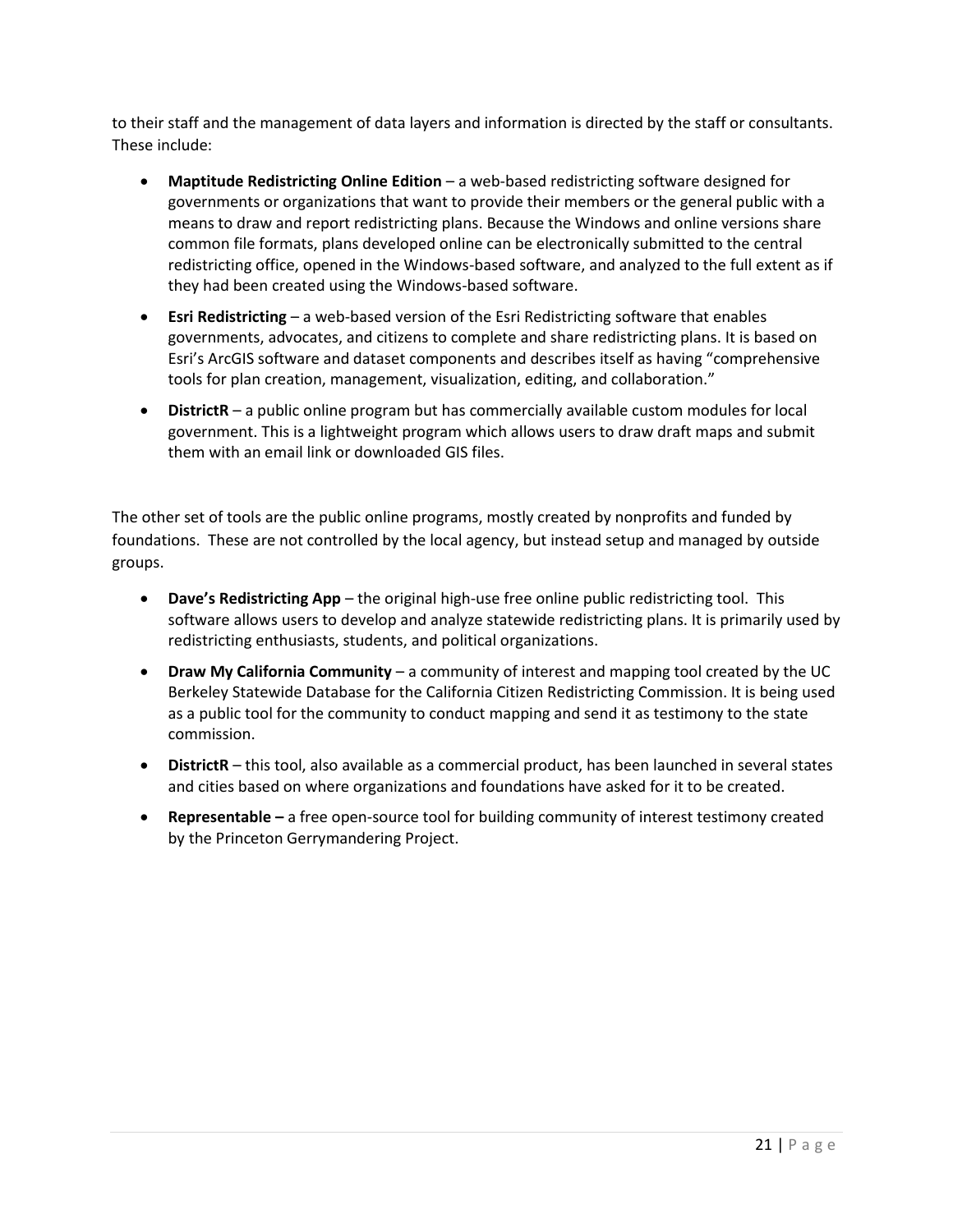to their staff and the management of data layers and information is directed by the staff or consultants. These include:

- **Maptitude Redistricting Online Edition** a web-based redistricting software designed for governments or organizations that want to provide their members or the general public with a means to draw and report redistricting plans. Because the Windows and online versions share common file formats, plans developed online can be electronically submitted to the central redistricting office, opened in the Windows-based software, and analyzed to the full extent as if they had been created using the Windows-based software.
- **Esri Redistricting** a web-based version of the Esri Redistricting software that enables governments, advocates, and citizens to complete and share redistricting plans. It is based on Esri's ArcGIS software and dataset components and describes itself as having "comprehensive tools for plan creation, management, visualization, editing, and collaboration."
- **DistrictR** a public online program but has commercially available custom modules for local government. This is a lightweight program which allows users to draw draft maps and submit them with an email link or downloaded GIS files.

The other set of tools are the public online programs, mostly created by nonprofits and funded by foundations. These are not controlled by the local agency, but instead setup and managed by outside groups.

- **Dave's Redistricting App** the original high-use free online public redistricting tool. This software allows users to develop and analyze statewide redistricting plans. It is primarily used by redistricting enthusiasts, students, and political organizations.
- **Draw My California Community** a community of interest and mapping tool created by the UC Berkeley Statewide Database for the California Citizen Redistricting Commission. It is being used as a public tool for the community to conduct mapping and send it as testimony to the state commission.
- **DistrictR** this tool, also available as a commercial product, has been launched in several states and cities based on where organizations and foundations have asked for it to be created.
- **Representable –** a free open-source tool for building community of interest testimony created by the Princeton Gerrymandering Project.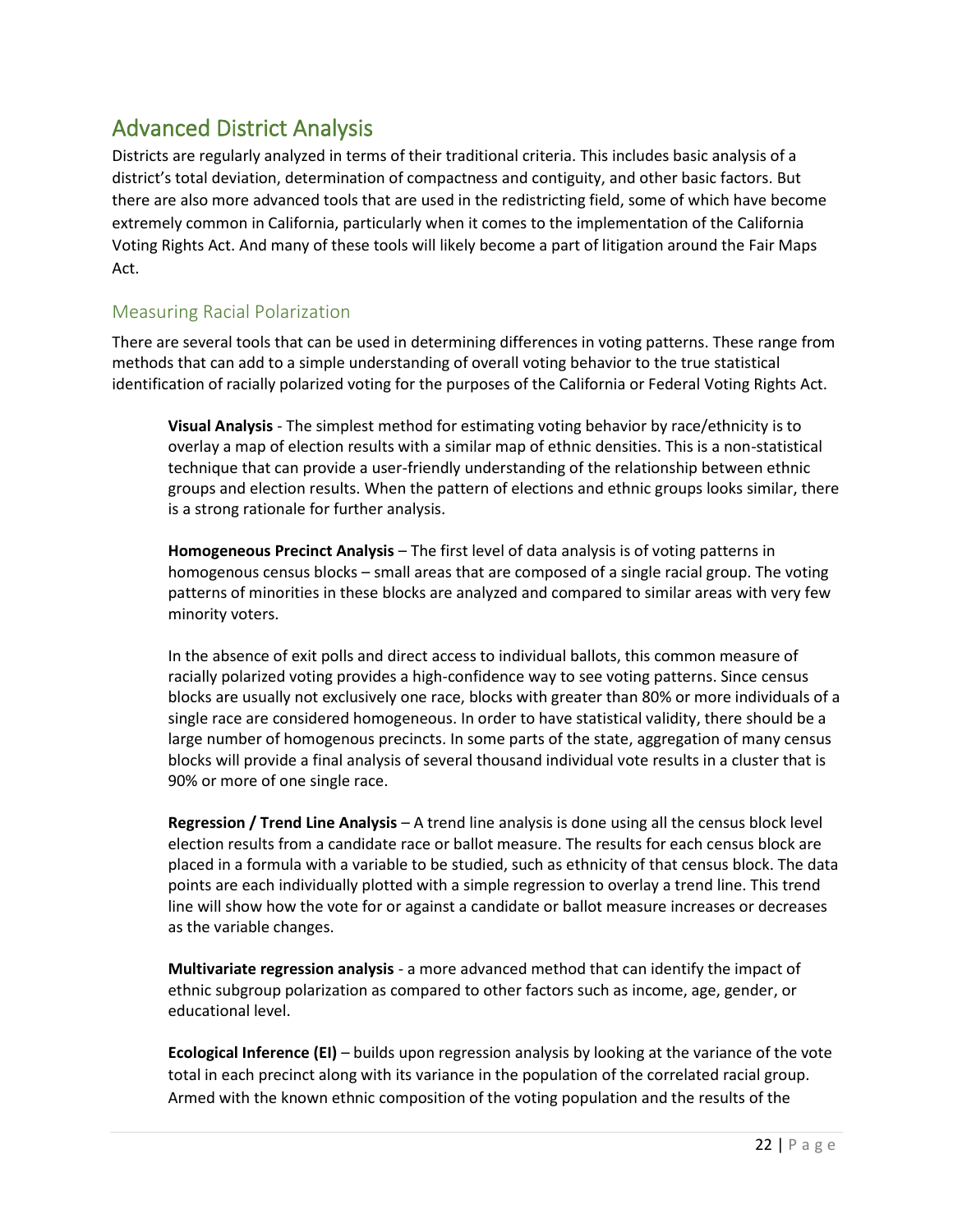# Advanced District Analysis

Districts are regularly analyzed in terms of their traditional criteria. This includes basic analysis of a district's total deviation, determination of compactness and contiguity, and other basic factors. But there are also more advanced tools that are used in the redistricting field, some of which have become extremely common in California, particularly when it comes to the implementation of the California Voting Rights Act. And many of these tools will likely become a part of litigation around the Fair Maps Act.

# Measuring Racial Polarization

There are several tools that can be used in determining differences in voting patterns. These range from methods that can add to a simple understanding of overall voting behavior to the true statistical identification of racially polarized voting for the purposes of the California or Federal Voting Rights Act.

**Visual Analysis** - The simplest method for estimating voting behavior by race/ethnicity is to overlay a map of election results with a similar map of ethnic densities. This is a non-statistical technique that can provide a user-friendly understanding of the relationship between ethnic groups and election results. When the pattern of elections and ethnic groups looks similar, there is a strong rationale for further analysis.

**Homogeneous Precinct Analysis** – The first level of data analysis is of voting patterns in homogenous census blocks – small areas that are composed of a single racial group. The voting patterns of minorities in these blocks are analyzed and compared to similar areas with very few minority voters.

In the absence of exit polls and direct access to individual ballots, this common measure of racially polarized voting provides a high-confidence way to see voting patterns. Since census blocks are usually not exclusively one race, blocks with greater than 80% or more individuals of a single race are considered homogeneous. In order to have statistical validity, there should be a large number of homogenous precincts. In some parts of the state, aggregation of many census blocks will provide a final analysis of several thousand individual vote results in a cluster that is 90% or more of one single race.

**Regression / Trend Line Analysis** *–* A trend line analysis is done using all the census block level election results from a candidate race or ballot measure. The results for each census block are placed in a formula with a variable to be studied, such as ethnicity of that census block. The data points are each individually plotted with a simple regression to overlay a trend line. This trend line will show how the vote for or against a candidate or ballot measure increases or decreases as the variable changes.

**Multivariate regression analysis** - a more advanced method that can identify the impact of ethnic subgroup polarization as compared to other factors such as income, age, gender, or educational level.

**Ecological Inference (EI)** – builds upon regression analysis by looking at the variance of the vote total in each precinct along with its variance in the population of the correlated racial group. Armed with the known ethnic composition of the voting population and the results of the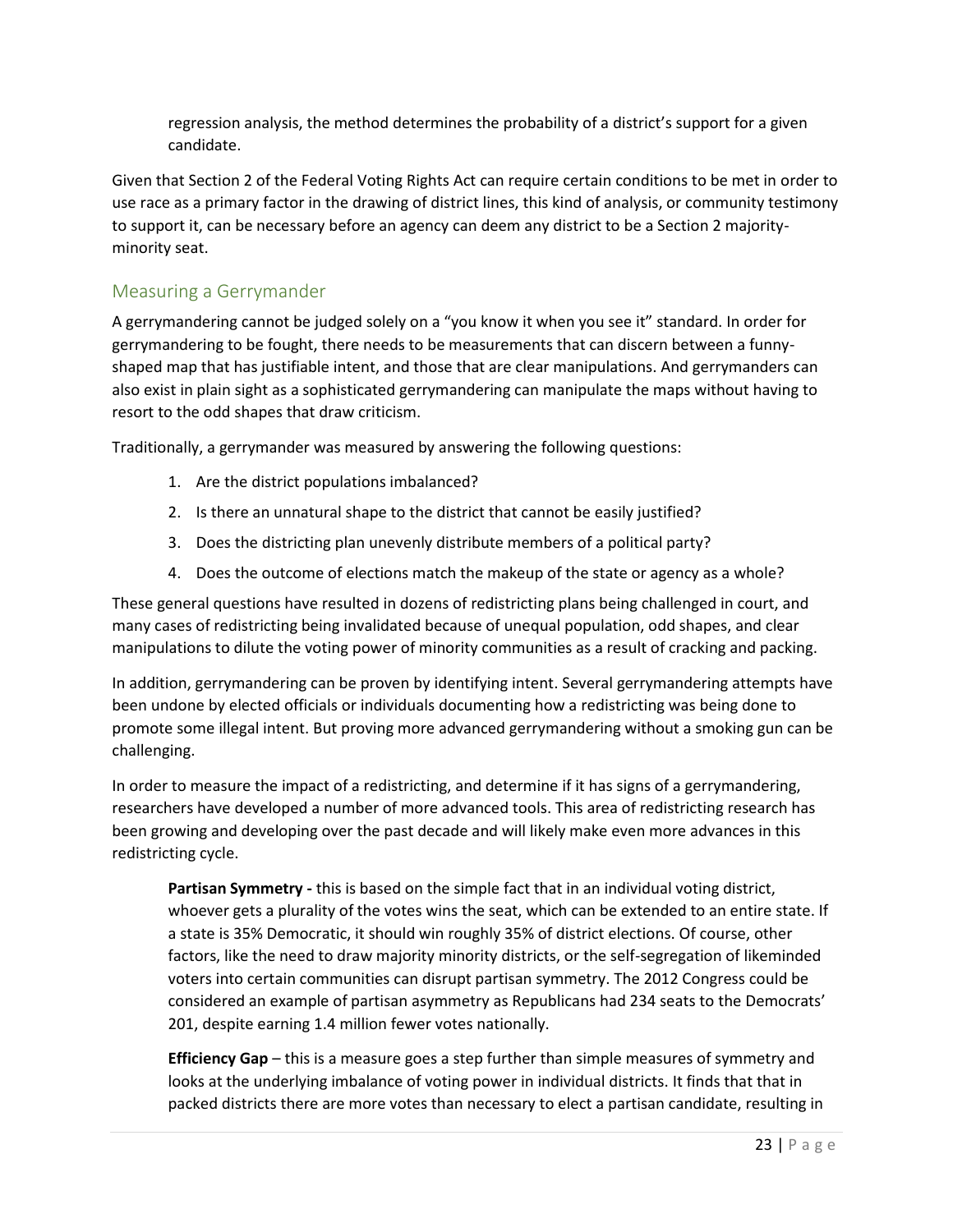regression analysis, the method determines the probability of a district's support for a given candidate.

Given that Section 2 of the Federal Voting Rights Act can require certain conditions to be met in order to use race as a primary factor in the drawing of district lines, this kind of analysis, or community testimony to support it, can be necessary before an agency can deem any district to be a Section 2 majorityminority seat.

### Measuring a Gerrymander

A gerrymandering cannot be judged solely on a "you know it when you see it" standard. In order for gerrymandering to be fought, there needs to be measurements that can discern between a funnyshaped map that has justifiable intent, and those that are clear manipulations. And gerrymanders can also exist in plain sight as a sophisticated gerrymandering can manipulate the maps without having to resort to the odd shapes that draw criticism.

Traditionally, a gerrymander was measured by answering the following questions:

- 1. Are the district populations imbalanced?
- 2. Is there an unnatural shape to the district that cannot be easily justified?
- 3. Does the districting plan unevenly distribute members of a political party?
- 4. Does the outcome of elections match the makeup of the state or agency as a whole?

These general questions have resulted in dozens of redistricting plans being challenged in court, and many cases of redistricting being invalidated because of unequal population, odd shapes, and clear manipulations to dilute the voting power of minority communities as a result of cracking and packing.

In addition, gerrymandering can be proven by identifying intent. Several gerrymandering attempts have been undone by elected officials or individuals documenting how a redistricting was being done to promote some illegal intent. But proving more advanced gerrymandering without a smoking gun can be challenging.

In order to measure the impact of a redistricting, and determine if it has signs of a gerrymandering, researchers have developed a number of more advanced tools. This area of redistricting research has been growing and developing over the past decade and will likely make even more advances in this redistricting cycle.

**Partisan Symmetry -** this is based on the simple fact that in an individual voting district, whoever gets a plurality of the votes wins the seat, which can be extended to an entire state. If a state is 35% Democratic, it should win roughly 35% of district elections. Of course, other factors, like the need to draw majority minority districts, or the self-segregation of likeminded voters into certain communities can disrupt partisan symmetry. The 2012 Congress could be considered an example of partisan asymmetry as Republicans had 234 seats to the Democrats' 201, despite earning 1.4 million fewer votes nationally.

**Efficiency Gap** – this is a measure goes a step further than simple measures of symmetry and looks at the underlying imbalance of voting power in individual districts. It finds that that in packed districts there are more votes than necessary to elect a partisan candidate, resulting in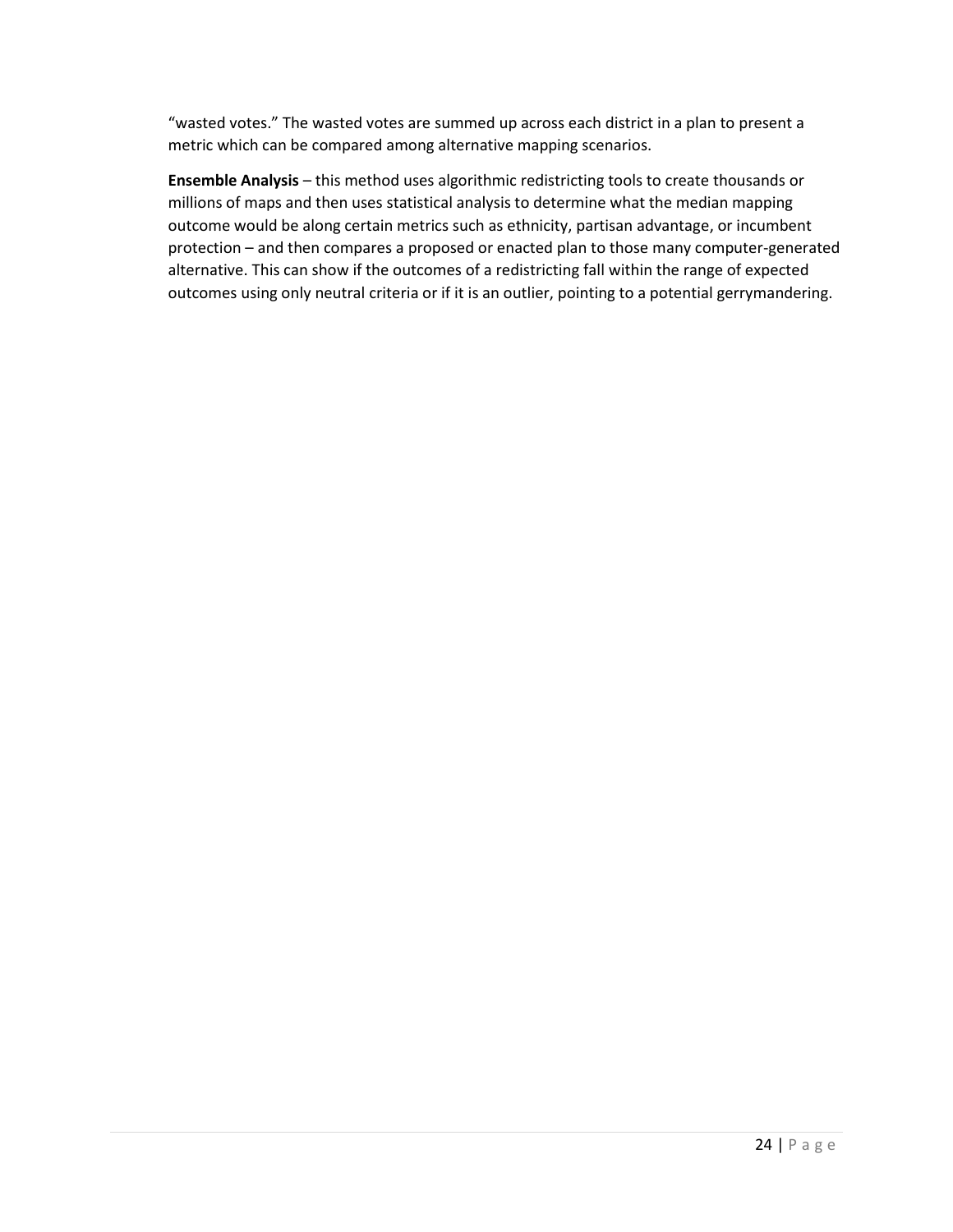"wasted votes." The wasted votes are summed up across each district in a plan to present a metric which can be compared among alternative mapping scenarios.

**Ensemble Analysis** – this method uses algorithmic redistricting tools to create thousands or millions of maps and then uses statistical analysis to determine what the median mapping outcome would be along certain metrics such as ethnicity, partisan advantage, or incumbent protection – and then compares a proposed or enacted plan to those many computer-generated alternative. This can show if the outcomes of a redistricting fall within the range of expected outcomes using only neutral criteria or if it is an outlier, pointing to a potential gerrymandering.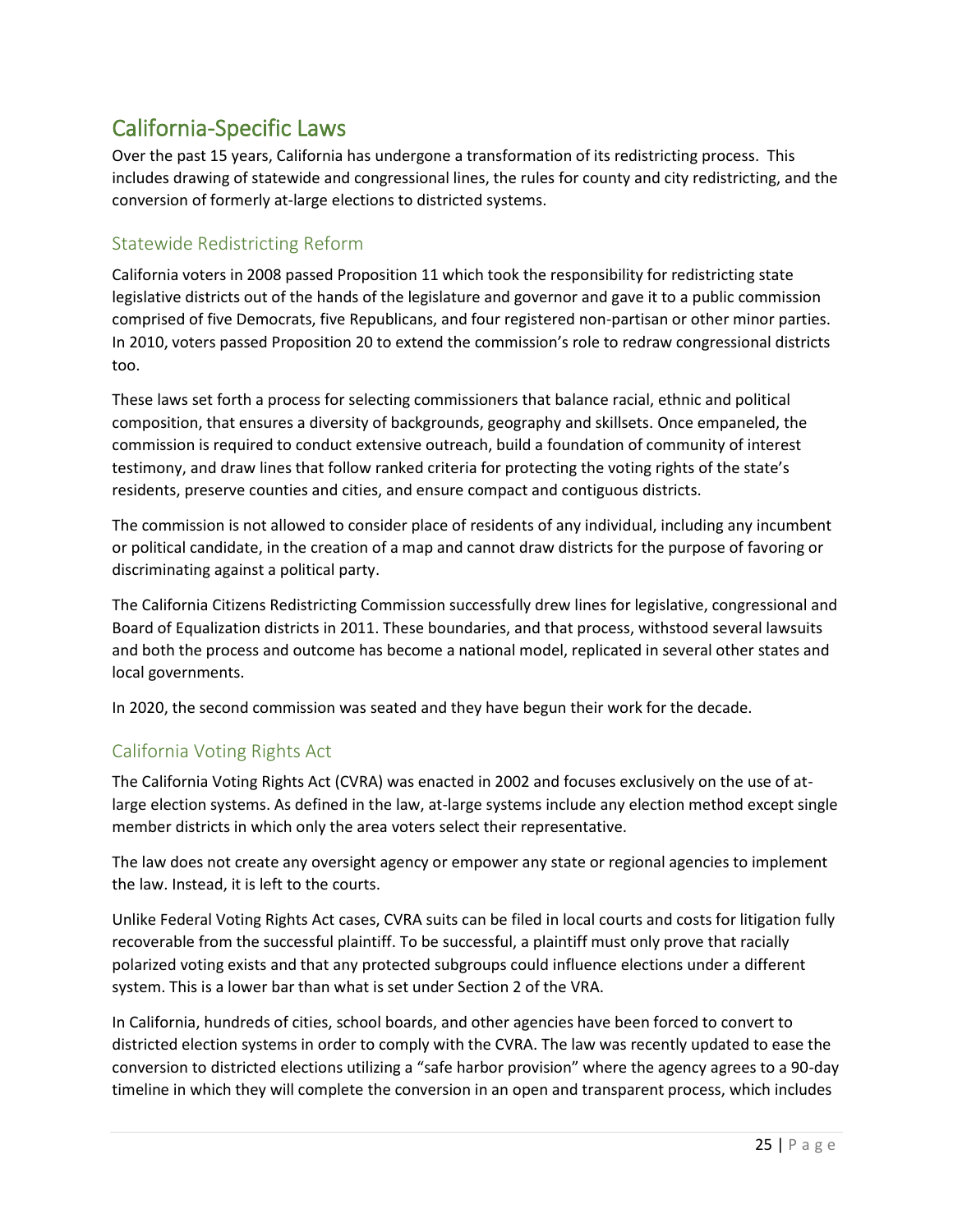# California-Specific Laws

Over the past 15 years, California has undergone a transformation of its redistricting process. This includes drawing of statewide and congressional lines, the rules for county and city redistricting, and the conversion of formerly at-large elections to districted systems.

# Statewide Redistricting Reform

California voters in 2008 passed Proposition 11 which took the responsibility for redistricting state legislative districts out of the hands of the legislature and governor and gave it to a public commission comprised of five Democrats, five Republicans, and four registered non-partisan or other minor parties. In 2010, voters passed Proposition 20 to extend the commission's role to redraw congressional districts too.

These laws set forth a process for selecting commissioners that balance racial, ethnic and political composition, that ensures a diversity of backgrounds, geography and skillsets. Once empaneled, the commission is required to conduct extensive outreach, build a foundation of community of interest testimony, and draw lines that follow ranked criteria for protecting the voting rights of the state's residents, preserve counties and cities, and ensure compact and contiguous districts.

The commission is not allowed to consider place of residents of any individual, including any incumbent or political candidate, in the creation of a map and cannot draw districts for the purpose of favoring or discriminating against a political party.

The California Citizens Redistricting Commission successfully drew lines for legislative, congressional and Board of Equalization districts in 2011. These boundaries, and that process, withstood several lawsuits and both the process and outcome has become a national model, replicated in several other states and local governments.

In 2020, the second commission was seated and they have begun their work for the decade.

# California Voting Rights Act

The California Voting Rights Act (CVRA) was enacted in 2002 and focuses exclusively on the use of atlarge election systems. As defined in the law, at-large systems include any election method except single member districts in which only the area voters select their representative.

The law does not create any oversight agency or empower any state or regional agencies to implement the law. Instead, it is left to the courts.

Unlike Federal Voting Rights Act cases, CVRA suits can be filed in local courts and costs for litigation fully recoverable from the successful plaintiff. To be successful, a plaintiff must only prove that racially polarized voting exists and that any protected subgroups could influence elections under a different system. This is a lower bar than what is set under Section 2 of the VRA.

In California, hundreds of cities, school boards, and other agencies have been forced to convert to districted election systems in order to comply with the CVRA. The law was recently updated to ease the conversion to districted elections utilizing a "safe harbor provision" where the agency agrees to a 90-day timeline in which they will complete the conversion in an open and transparent process, which includes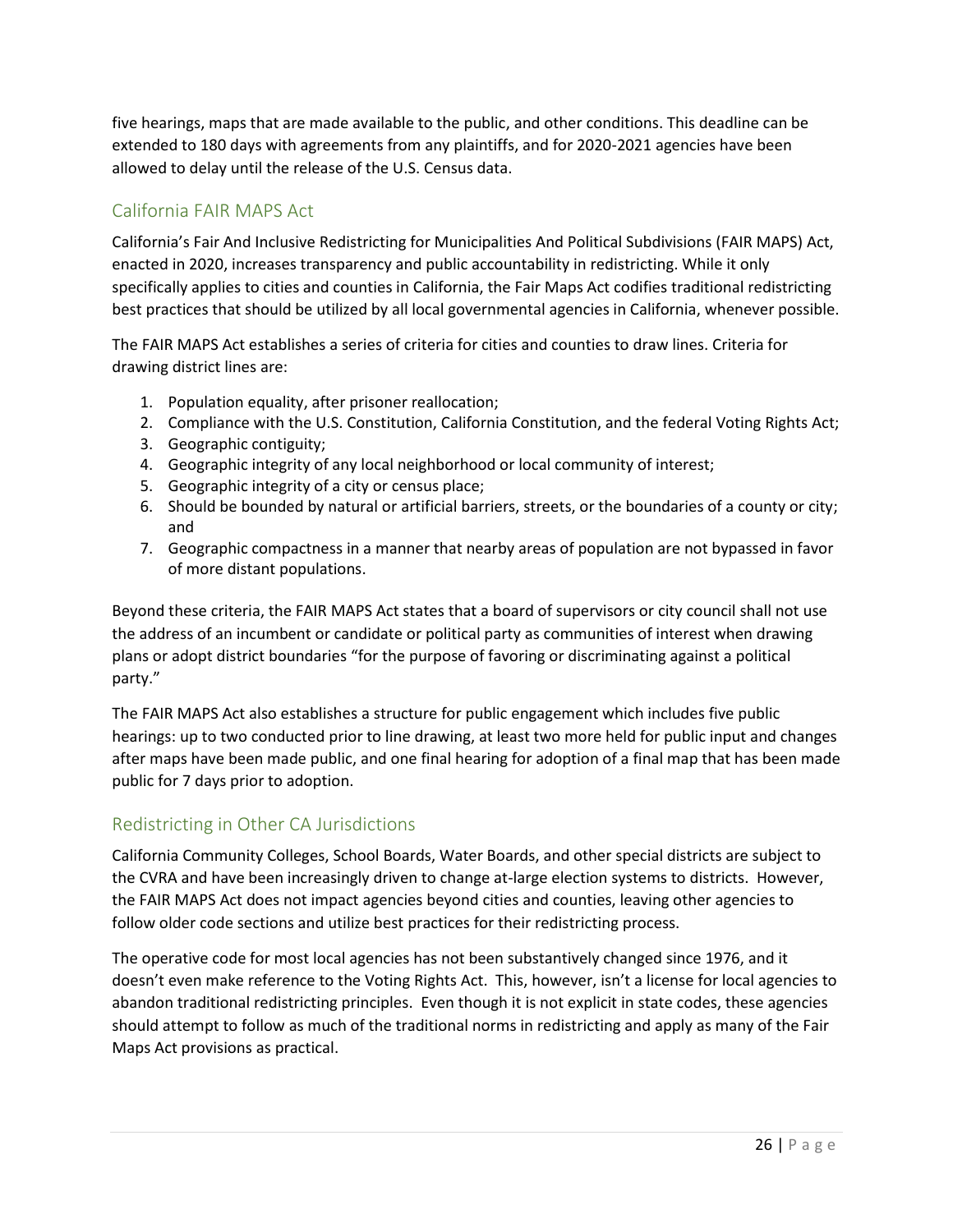five hearings, maps that are made available to the public, and other conditions. This deadline can be extended to 180 days with agreements from any plaintiffs, and for 2020-2021 agencies have been allowed to delay until the release of the U.S. Census data.

# California FAIR MAPS Act

California's Fair And Inclusive Redistricting for Municipalities And Political Subdivisions (FAIR MAPS) Act, enacted in 2020, increases transparency and public accountability in redistricting. While it only specifically applies to cities and counties in California, the Fair Maps Act codifies traditional redistricting best practices that should be utilized by all local governmental agencies in California, whenever possible.

The FAIR MAPS Act establishes a series of criteria for cities and counties to draw lines. Criteria for drawing district lines are:

- 1. Population equality, after prisoner reallocation;
- 2. Compliance with the U.S. Constitution, California Constitution, and the federal Voting Rights Act;
- 3. Geographic contiguity;
- 4. Geographic integrity of any local neighborhood or local community of interest;
- 5. Geographic integrity of a city or census place;
- 6. Should be bounded by natural or artificial barriers, streets, or the boundaries of a county or city; and
- 7. Geographic compactness in a manner that nearby areas of population are not bypassed in favor of more distant populations.

Beyond these criteria, the FAIR MAPS Act states that a board of supervisors or city council shall not use the address of an incumbent or candidate or political party as communities of interest when drawing plans or adopt district boundaries "for the purpose of favoring or discriminating against a political party."

The FAIR MAPS Act also establishes a structure for public engagement which includes five public hearings: up to two conducted prior to line drawing, at least two more held for public input and changes after maps have been made public, and one final hearing for adoption of a final map that has been made public for 7 days prior to adoption.

# Redistricting in Other CA Jurisdictions

California Community Colleges, School Boards, Water Boards, and other special districts are subject to the CVRA and have been increasingly driven to change at-large election systems to districts. However, the FAIR MAPS Act does not impact agencies beyond cities and counties, leaving other agencies to follow older code sections and utilize best practices for their redistricting process.

The operative code for most local agencies has not been substantively changed since 1976, and it doesn't even make reference to the Voting Rights Act. This, however, isn't a license for local agencies to abandon traditional redistricting principles. Even though it is not explicit in state codes, these agencies should attempt to follow as much of the traditional norms in redistricting and apply as many of the Fair Maps Act provisions as practical.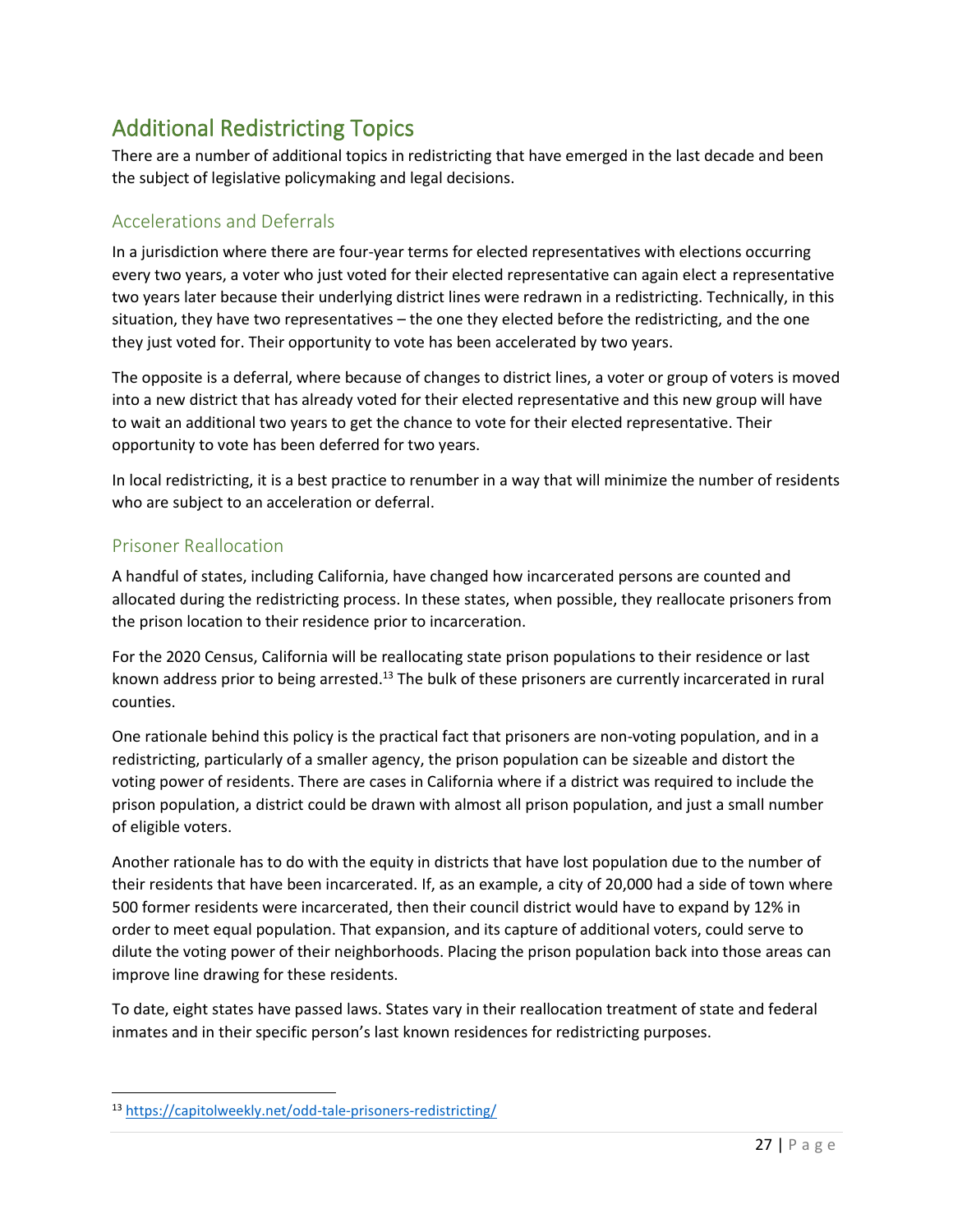# Additional Redistricting Topics

There are a number of additional topics in redistricting that have emerged in the last decade and been the subject of legislative policymaking and legal decisions.

# Accelerations and Deferrals

In a jurisdiction where there are four-year terms for elected representatives with elections occurring every two years, a voter who just voted for their elected representative can again elect a representative two years later because their underlying district lines were redrawn in a redistricting. Technically, in this situation, they have two representatives – the one they elected before the redistricting, and the one they just voted for. Their opportunity to vote has been accelerated by two years.

The opposite is a deferral, where because of changes to district lines, a voter or group of voters is moved into a new district that has already voted for their elected representative and this new group will have to wait an additional two years to get the chance to vote for their elected representative. Their opportunity to vote has been deferred for two years.

In local redistricting, it is a best practice to renumber in a way that will minimize the number of residents who are subject to an acceleration or deferral.

### Prisoner Reallocation

A handful of states, including California, have changed how incarcerated persons are counted and allocated during the redistricting process. In these states, when possible, they reallocate prisoners from the prison location to their residence prior to incarceration.

For the 2020 Census, California will be reallocating state prison populations to their residence or last known address prior to being arrested.<sup>13</sup> The bulk of these prisoners are currently incarcerated in rural counties.

One rationale behind this policy is the practical fact that prisoners are non-voting population, and in a redistricting, particularly of a smaller agency, the prison population can be sizeable and distort the voting power of residents. There are cases in California where if a district was required to include the prison population, a district could be drawn with almost all prison population, and just a small number of eligible voters.

Another rationale has to do with the equity in districts that have lost population due to the number of their residents that have been incarcerated. If, as an example, a city of 20,000 had a side of town where 500 former residents were incarcerated, then their council district would have to expand by 12% in order to meet equal population. That expansion, and its capture of additional voters, could serve to dilute the voting power of their neighborhoods. Placing the prison population back into those areas can improve line drawing for these residents.

To date, eight states have passed laws. States vary in their reallocation treatment of state and federal inmates and in their specific person's last known residences for redistricting purposes.

<sup>13</sup> <https://capitolweekly.net/odd-tale-prisoners-redistricting/>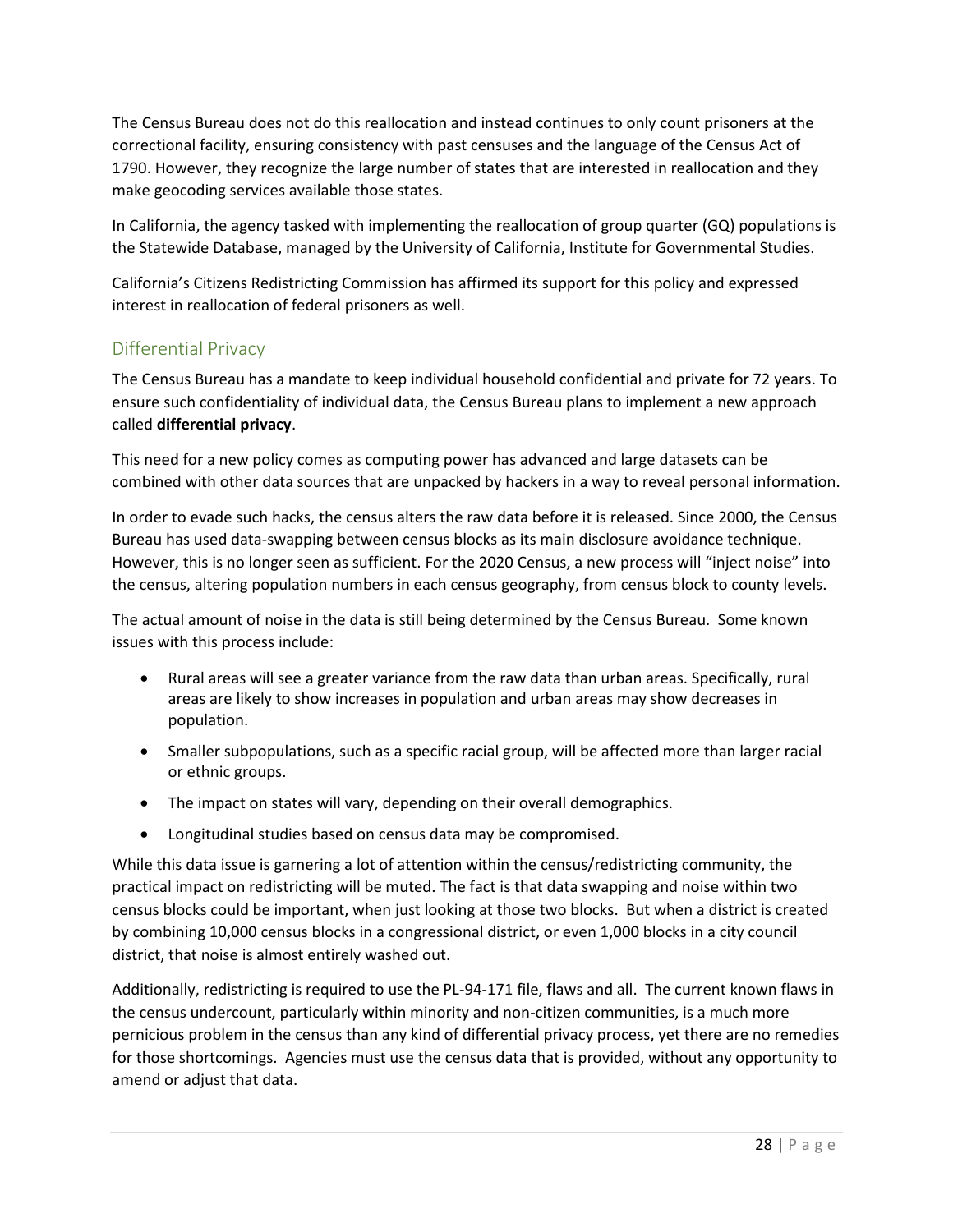The Census Bureau does not do this reallocation and instead continues to only count prisoners at the correctional facility, ensuring consistency with past censuses and the language of the Census Act of 1790. However, they recognize the large number of states that are interested in reallocation and they make geocoding services available those states.

In California, the agency tasked with implementing the reallocation of group quarter (GQ) populations is the Statewide Database, managed by the University of California, Institute for Governmental Studies.

California's Citizens Redistricting Commission has affirmed its support for this policy and expressed interest in reallocation of federal prisoners as well.

# Differential Privacy

The Census Bureau has a mandate to keep individual household confidential and private for 72 years. To ensure such confidentiality of individual data, the Census Bureau plans to implement a new approach called **differential privacy**.

This need for a new policy comes as computing power has advanced and large datasets can be combined with other data sources that are unpacked by hackers in a way to reveal personal information.

In order to evade such hacks, the census alters the raw data before it is released. Since 2000, the Census Bureau has used data-swapping between census blocks as its main disclosure avoidance technique. However, this is no longer seen as sufficient. For the 2020 Census, a new process will "inject noise" into the census, altering population numbers in each census geography, from census block to county levels.

The actual amount of noise in the data is still being determined by the Census Bureau. Some known issues with this process include:

- Rural areas will see a greater variance from the raw data than urban areas. Specifically, rural areas are likely to show increases in population and urban areas may show decreases in population.
- Smaller subpopulations, such as a specific racial group, will be affected more than larger racial or ethnic groups.
- The impact on states will vary, depending on their overall demographics.
- Longitudinal studies based on census data may be compromised.

While this data issue is garnering a lot of attention within the census/redistricting community, the practical impact on redistricting will be muted. The fact is that data swapping and noise within two census blocks could be important, when just looking at those two blocks. But when a district is created by combining 10,000 census blocks in a congressional district, or even 1,000 blocks in a city council district, that noise is almost entirely washed out.

Additionally, redistricting is required to use the PL-94-171 file, flaws and all. The current known flaws in the census undercount, particularly within minority and non-citizen communities, is a much more pernicious problem in the census than any kind of differential privacy process, yet there are no remedies for those shortcomings. Agencies must use the census data that is provided, without any opportunity to amend or adjust that data.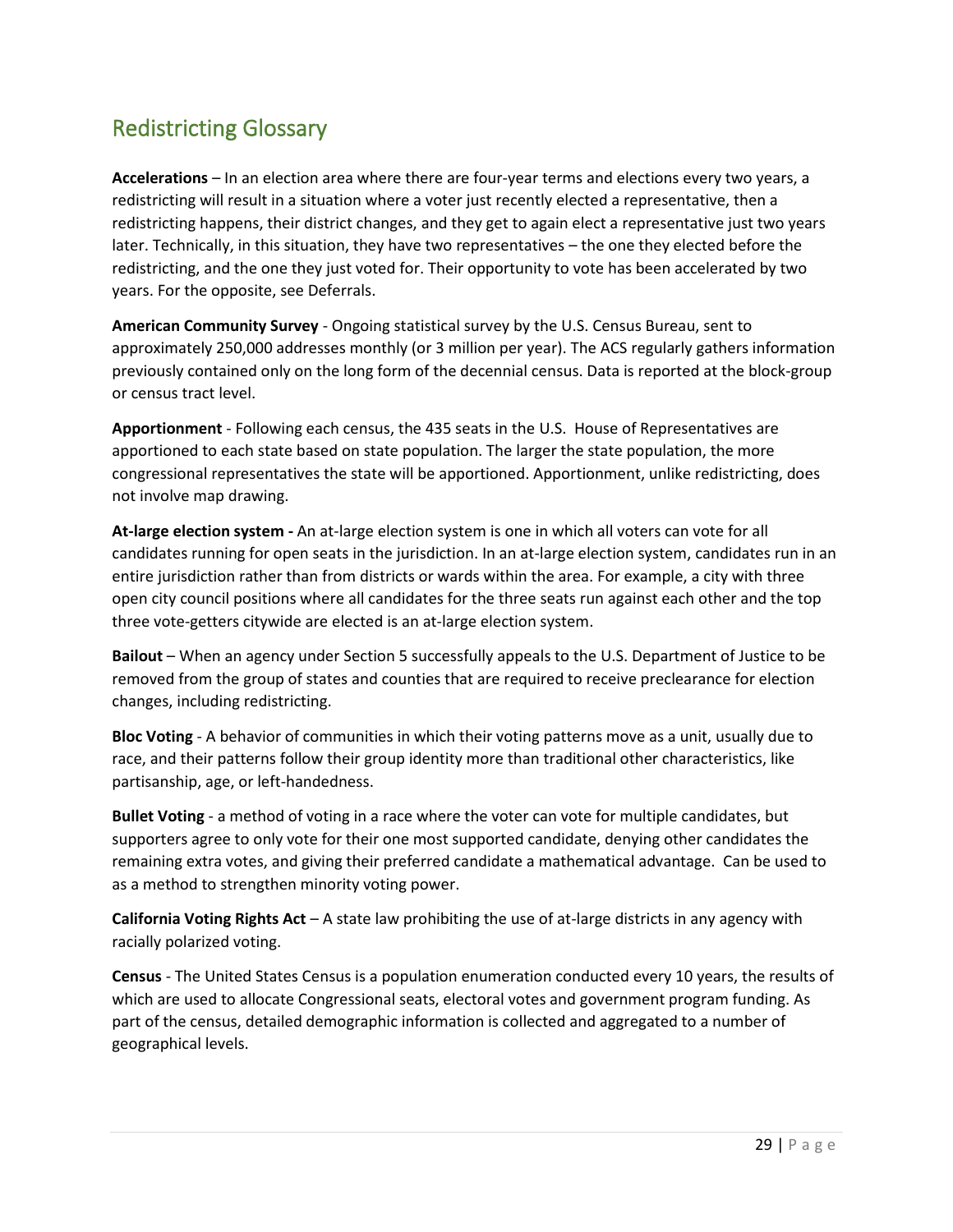# Redistricting Glossary

**Accelerations** – In an election area where there are four-year terms and elections every two years, a redistricting will result in a situation where a voter just recently elected a representative, then a redistricting happens, their district changes, and they get to again elect a representative just two years later. Technically, in this situation, they have two representatives – the one they elected before the redistricting, and the one they just voted for. Their opportunity to vote has been accelerated by two years. For the opposite, see Deferrals.

**American Community Survey** - Ongoing statistical survey by the U.S. Census Bureau, sent to approximately 250,000 addresses monthly (or 3 million per year). The ACS regularly gathers information previously contained only on the long form of the decennial census. Data is reported at the block-group or census tract level.

**Apportionment** - Following each census, the 435 seats in the U.S. House of Representatives are apportioned to each state based on state population. The larger the state population, the more congressional representatives the state will be apportioned. Apportionment, unlike redistricting, does not involve map drawing.

**At-large election system -** An at-large election system is one in which all voters can vote for all candidates running for open seats in the jurisdiction. In an at-large election system, candidates run in an entire jurisdiction rather than from districts or wards within the area. For example, a city with three open city council positions where all candidates for the three seats run against each other and the top three vote-getters citywide are elected is an at-large election system.

**Bailout** – When an agency under Section 5 successfully appeals to the U.S. Department of Justice to be removed from the group of states and counties that are required to receive preclearance for election changes, including redistricting.

**Bloc Voting** - A behavior of communities in which their voting patterns move as a unit, usually due to race, and their patterns follow their group identity more than traditional other characteristics, like partisanship, age, or left-handedness.

**Bullet Voting** - a method of voting in a race where the voter can vote for multiple candidates, but supporters agree to only vote for their one most supported candidate, denying other candidates the remaining extra votes, and giving their preferred candidate a mathematical advantage. Can be used to as a method to strengthen minority voting power.

**California Voting Rights Act** – A state law prohibiting the use of at-large districts in any agency with racially polarized voting.

**Census** - The United States Census is a population enumeration conducted every 10 years, the results of which are used to allocate Congressional seats, electoral votes and government program funding. As part of the census, detailed demographic information is collected and aggregated to a number of geographical levels.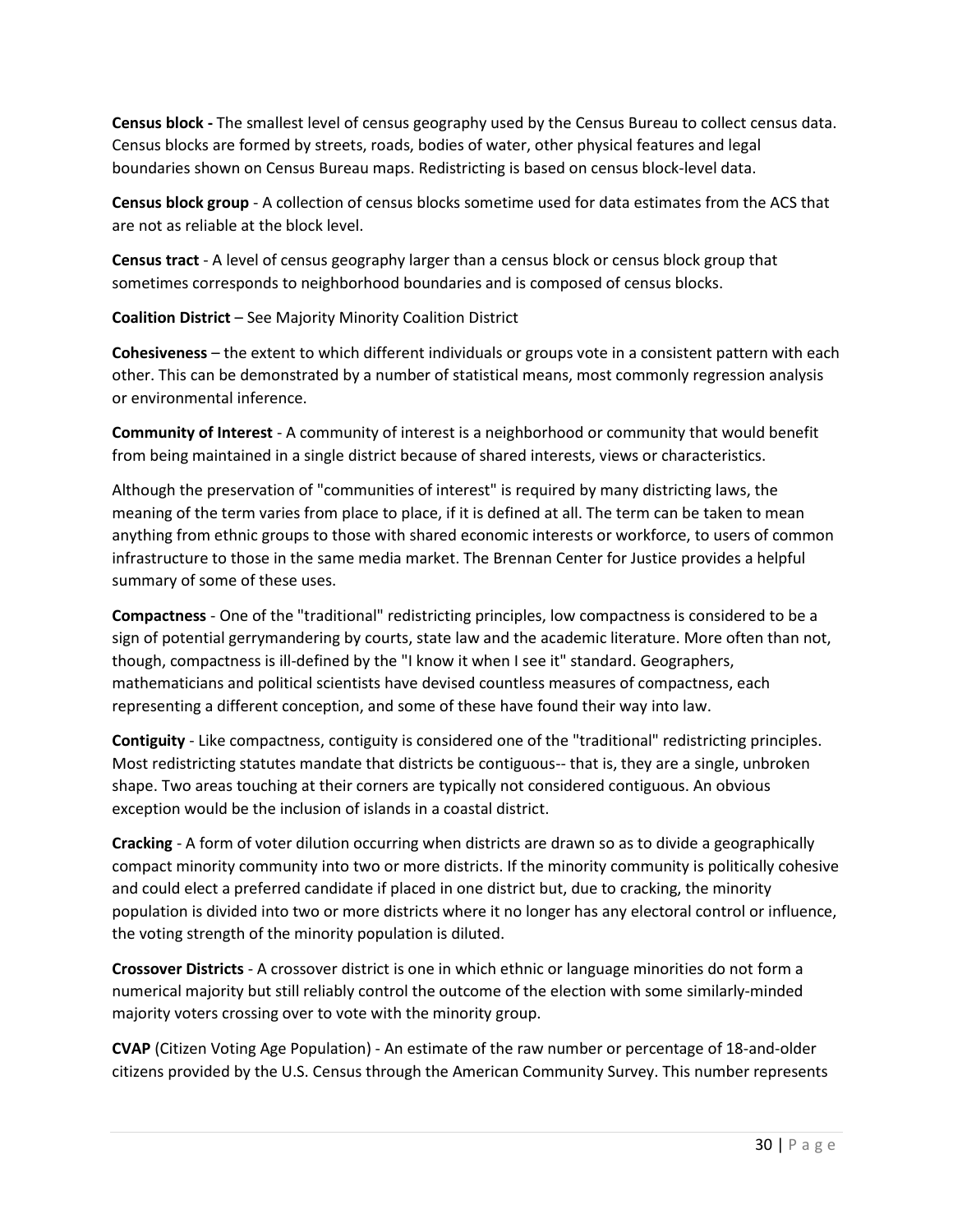**Census block -** The smallest level of census geography used by the Census Bureau to collect census data. Census blocks are formed by streets, roads, bodies of water, other physical features and legal boundaries shown on Census Bureau maps. Redistricting is based on census block-level data.

**Census block group** - A collection of census blocks sometime used for data estimates from the ACS that are not as reliable at the block level.

**Census tract** - A level of census geography larger than a census block or census block group that sometimes corresponds to neighborhood boundaries and is composed of census blocks.

**Coalition District** – See Majority Minority Coalition District

**Cohesiveness** – the extent to which different individuals or groups vote in a consistent pattern with each other. This can be demonstrated by a number of statistical means, most commonly regression analysis or environmental inference.

**Community of Interest** - A community of interest is a neighborhood or community that would benefit from being maintained in a single district because of shared interests, views or characteristics.

Although the preservation of "communities of interest" is required by many districting laws, the meaning of the term varies from place to place, if it is defined at all. The term can be taken to mean anything from ethnic groups to those with shared economic interests or workforce, to users of common infrastructure to those in the same media market. The Brennan Center for Justice provides a helpful summary of some of these uses.

**Compactness** - One of the "traditional" redistricting principles, low compactness is considered to be a sign of potential gerrymandering by courts, state law and the academic literature. More often than not, though, compactness is ill-defined by the "I know it when I see it" standard. Geographers, mathematicians and political scientists have devised countless measures of compactness, each representing a different conception, and some of these have found their way into law.

**Contiguity** - Like compactness, contiguity is considered one of the "traditional" redistricting principles. Most redistricting statutes mandate that districts be contiguous-- that is, they are a single, unbroken shape. Two areas touching at their corners are typically not considered contiguous. An obvious exception would be the inclusion of islands in a coastal district.

**Cracking** - A form of voter dilution occurring when districts are drawn so as to divide a geographically compact minority community into two or more districts. If the minority community is politically cohesive and could elect a preferred candidate if placed in one district but, due to cracking, the minority population is divided into two or more districts where it no longer has any electoral control or influence, the voting strength of the minority population is diluted.

**Crossover Districts** - A crossover district is one in which ethnic or language minorities do not form a numerical majority but still reliably control the outcome of the election with some similarly-minded majority voters crossing over to vote with the minority group.

**CVAP** (Citizen Voting Age Population) - An estimate of the raw number or percentage of 18-and-older citizens provided by the U.S. Census through the American Community Survey. This number represents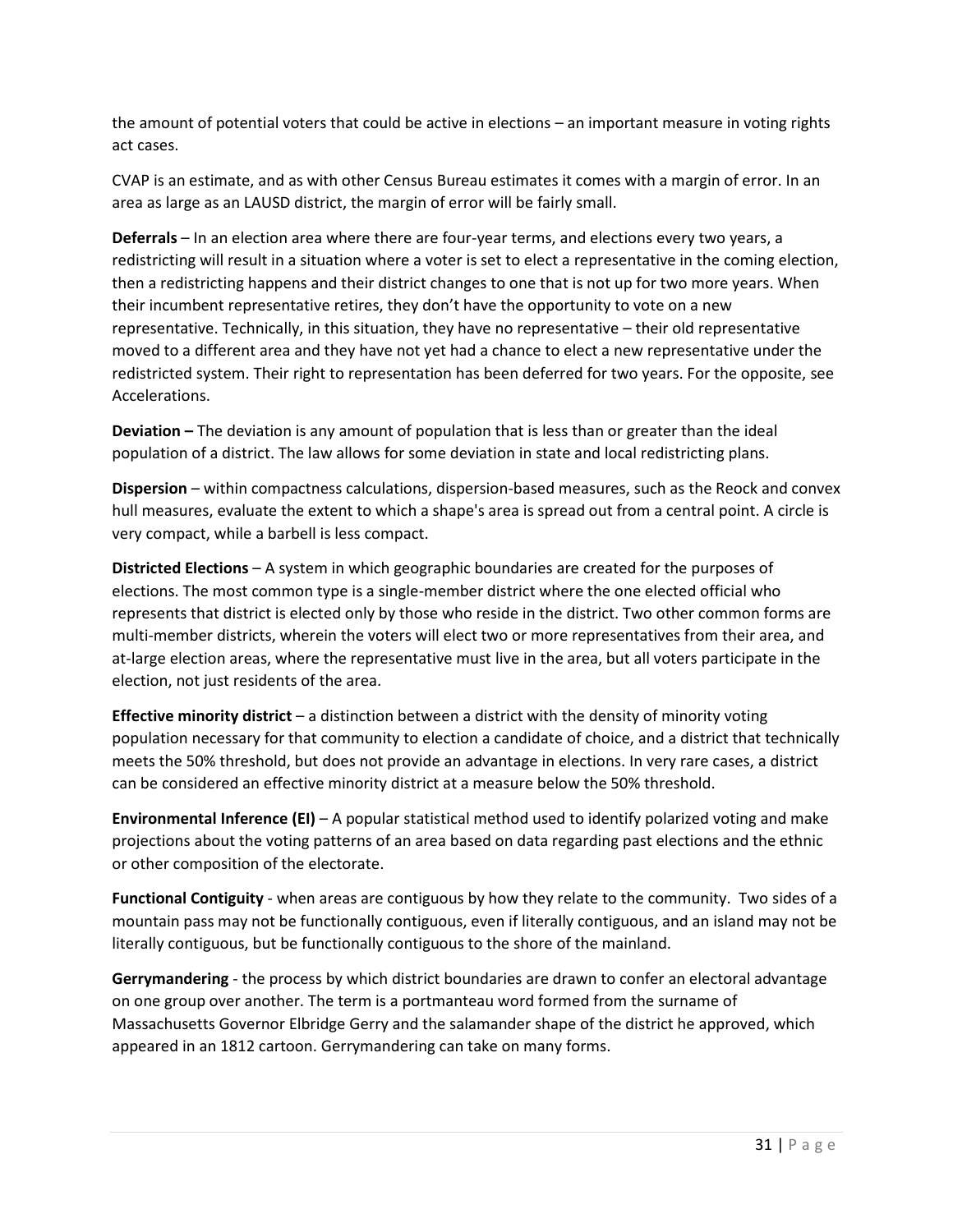the amount of potential voters that could be active in elections – an important measure in voting rights act cases.

CVAP is an estimate, and as with other Census Bureau estimates it comes with a margin of error. In an area as large as an LAUSD district, the margin of error will be fairly small.

**Deferrals** – In an election area where there are four-year terms, and elections every two years, a redistricting will result in a situation where a voter is set to elect a representative in the coming election, then a redistricting happens and their district changes to one that is not up for two more years. When their incumbent representative retires, they don't have the opportunity to vote on a new representative. Technically, in this situation, they have no representative – their old representative moved to a different area and they have not yet had a chance to elect a new representative under the redistricted system. Their right to representation has been deferred for two years. For the opposite, see Accelerations.

**Deviation –** The deviation is any amount of population that is less than or greater than the ideal population of a district. The law allows for some deviation in state and local redistricting plans.

**Dispersion** – within compactness calculations, dispersion-based measures, such as the Reock and convex hull measures, evaluate the extent to which a shape's area is spread out from a central point. A circle is very compact, while a barbell is less compact.

**Districted Elections** – A system in which geographic boundaries are created for the purposes of elections. The most common type is a single-member district where the one elected official who represents that district is elected only by those who reside in the district. Two other common forms are multi-member districts, wherein the voters will elect two or more representatives from their area, and at-large election areas, where the representative must live in the area, but all voters participate in the election, not just residents of the area.

**Effective minority district** – a distinction between a district with the density of minority voting population necessary for that community to election a candidate of choice, and a district that technically meets the 50% threshold, but does not provide an advantage in elections. In very rare cases, a district can be considered an effective minority district at a measure below the 50% threshold.

**Environmental Inference (EI)** – A popular statistical method used to identify polarized voting and make projections about the voting patterns of an area based on data regarding past elections and the ethnic or other composition of the electorate.

**Functional Contiguity** - when areas are contiguous by how they relate to the community. Two sides of a mountain pass may not be functionally contiguous, even if literally contiguous, and an island may not be literally contiguous, but be functionally contiguous to the shore of the mainland.

**Gerrymandering** - the process by which district boundaries are drawn to confer an electoral advantage on one group over another. The term is a portmanteau word formed from the surname of Massachusetts Governor Elbridge Gerry and the salamander shape of the district he approved, which appeared in an 1812 cartoon. Gerrymandering can take on many forms.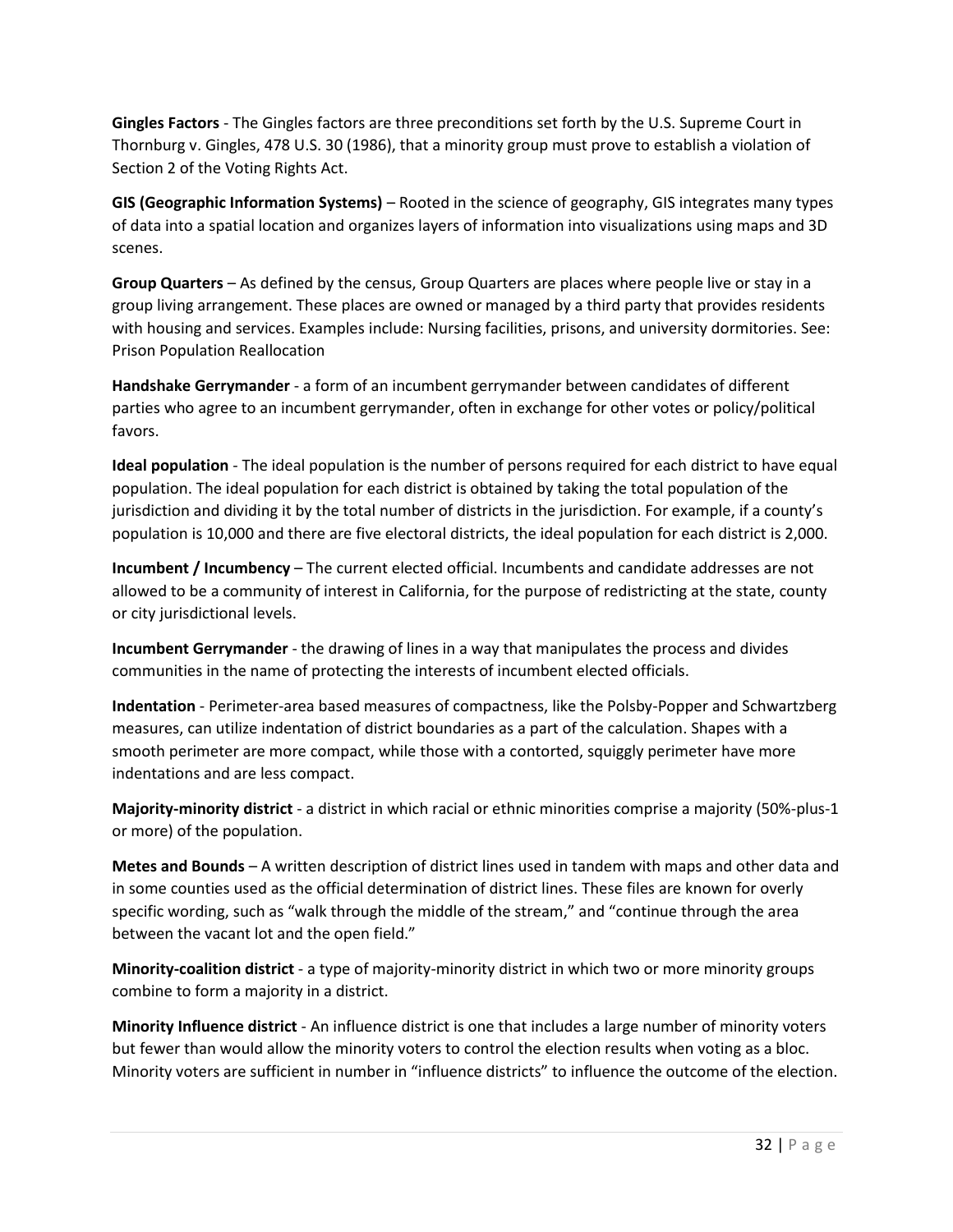**Gingles Factors** - The Gingles factors are three preconditions set forth by the U.S. Supreme Court in Thornburg v. Gingles, 478 U.S. 30 (1986), that a minority group must prove to establish a violation of Section 2 of the Voting Rights Act.

**GIS (Geographic Information Systems)** – Rooted in the science of geography, GIS integrates many types of data into a spatial location and organizes layers of information into visualizations using maps and 3D scenes.

**Group Quarters** – As defined by the census, Group Quarters are places where people live or stay in a group living arrangement. These places are owned or managed by a third party that provides residents with housing and services. Examples include: Nursing facilities, prisons, and university dormitories. See: Prison Population Reallocation

**Handshake Gerrymander** - a form of an incumbent gerrymander between candidates of different parties who agree to an incumbent gerrymander, often in exchange for other votes or policy/political favors.

**Ideal population** - The ideal population is the number of persons required for each district to have equal population. The ideal population for each district is obtained by taking the total population of the jurisdiction and dividing it by the total number of districts in the jurisdiction. For example, if a county's population is 10,000 and there are five electoral districts, the ideal population for each district is 2,000.

**Incumbent / Incumbency** – The current elected official. Incumbents and candidate addresses are not allowed to be a community of interest in California, for the purpose of redistricting at the state, county or city jurisdictional levels.

**Incumbent Gerrymander** - the drawing of lines in a way that manipulates the process and divides communities in the name of protecting the interests of incumbent elected officials.

**Indentation** - Perimeter-area based measures of compactness, like the Polsby-Popper and Schwartzberg measures, can utilize indentation of district boundaries as a part of the calculation. Shapes with a smooth perimeter are more compact, while those with a contorted, squiggly perimeter have more indentations and are less compact.

**Majority-minority district** - a district in which racial or ethnic minorities comprise a majority (50%-plus-1 or more) of the population.

**Metes and Bounds** – A written description of district lines used in tandem with maps and other data and in some counties used as the official determination of district lines. These files are known for overly specific wording, such as "walk through the middle of the stream," and "continue through the area between the vacant lot and the open field."

**Minority-coalition district** - a type of majority-minority district in which two or more minority groups combine to form a majority in a district.

**Minority Influence district** - An influence district is one that includes a large number of minority voters but fewer than would allow the minority voters to control the election results when voting as a bloc. Minority voters are sufficient in number in "influence districts" to influence the outcome of the election.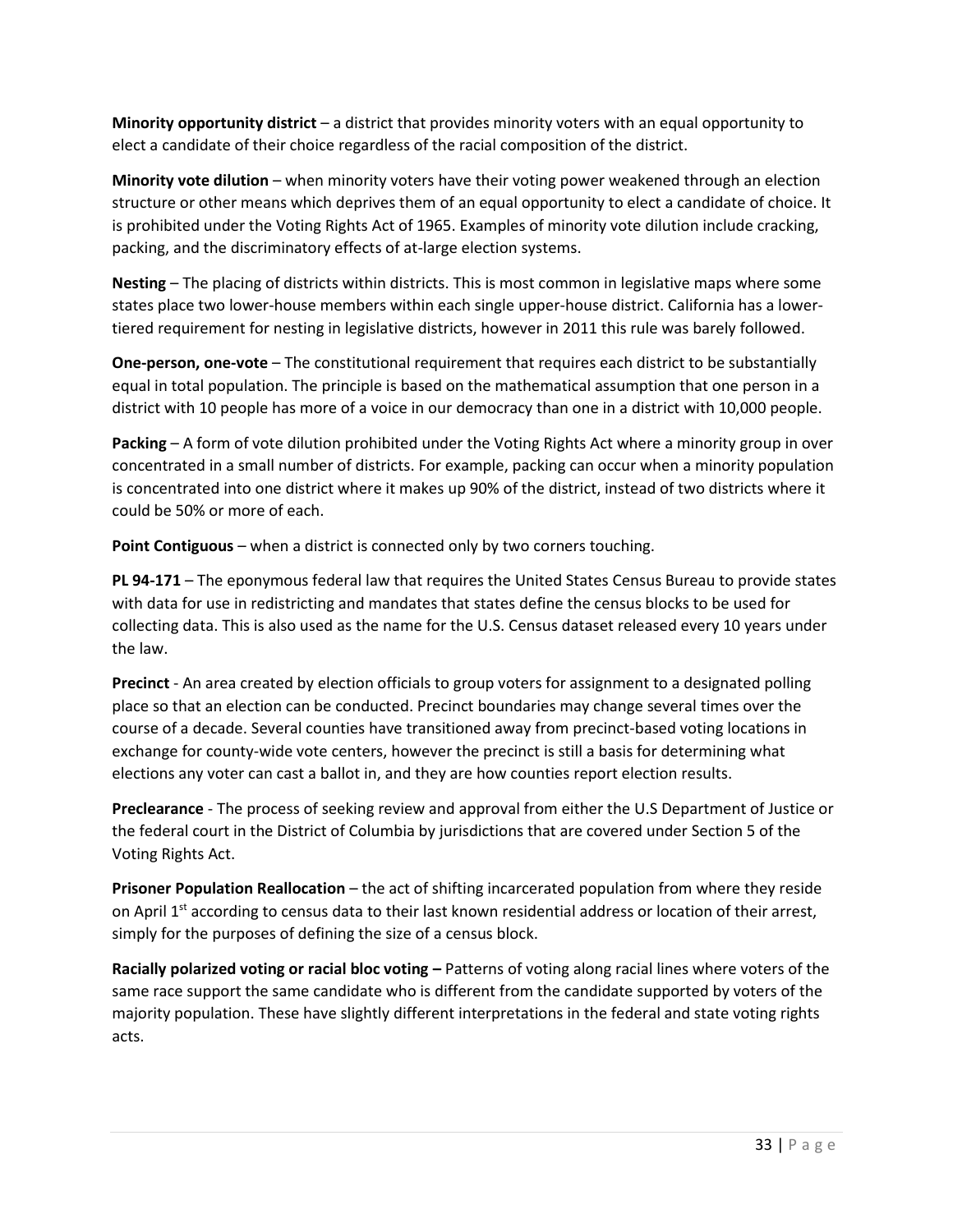**Minority opportunity district** – a district that provides minority voters with an equal opportunity to elect a candidate of their choice regardless of the racial composition of the district.

**Minority vote dilution** – when minority voters have their voting power weakened through an election structure or other means which deprives them of an equal opportunity to elect a candidate of choice. It is prohibited under the Voting Rights Act of 1965. Examples of minority vote dilution include cracking, packing, and the discriminatory effects of at-large election systems.

**Nesting** – The placing of districts within districts. This is most common in legislative maps where some states place two lower-house members within each single upper-house district. California has a lowertiered requirement for nesting in legislative districts, however in 2011 this rule was barely followed.

**One-person, one-vote** – The constitutional requirement that requires each district to be substantially equal in total population. The principle is based on the mathematical assumption that one person in a district with 10 people has more of a voice in our democracy than one in a district with 10,000 people.

**Packing** – A form of vote dilution prohibited under the Voting Rights Act where a minority group in over concentrated in a small number of districts. For example, packing can occur when a minority population is concentrated into one district where it makes up 90% of the district, instead of two districts where it could be 50% or more of each.

**Point Contiguous** – when a district is connected only by two corners touching.

**PL 94-171** – The eponymous federal law that requires the United States Census Bureau to provide states with data for use in redistricting and mandates that states define the census blocks to be used for collecting data. This is also used as the name for the U.S. Census dataset released every 10 years under the law.

**Precinct** - An area created by election officials to group voters for assignment to a designated polling place so that an election can be conducted. Precinct boundaries may change several times over the course of a decade. Several counties have transitioned away from precinct-based voting locations in exchange for county-wide vote centers, however the precinct is still a basis for determining what elections any voter can cast a ballot in, and they are how counties report election results.

**Preclearance** - The process of seeking review and approval from either the U.S Department of Justice or the federal court in the District of Columbia by jurisdictions that are covered under Section 5 of the Voting Rights Act.

**Prisoner Population Reallocation** – the act of shifting incarcerated population from where they reside on April 1<sup>st</sup> according to census data to their last known residential address or location of their arrest, simply for the purposes of defining the size of a census block.

**Racially polarized voting or racial bloc voting –** Patterns of voting along racial lines where voters of the same race support the same candidate who is different from the candidate supported by voters of the majority population. These have slightly different interpretations in the federal and state voting rights acts.